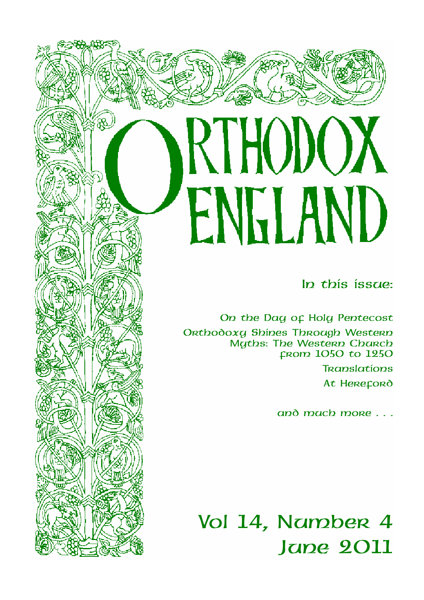# RTHODOX ENGLAND

In this issue:

On the Day of Holy Pentecost Orthodoxy Shines Through Western Myths: The Western Church from 1050 to 1250 **Translations** At Hereford

and much more . . .

Vol 14, Number 4 June 2011

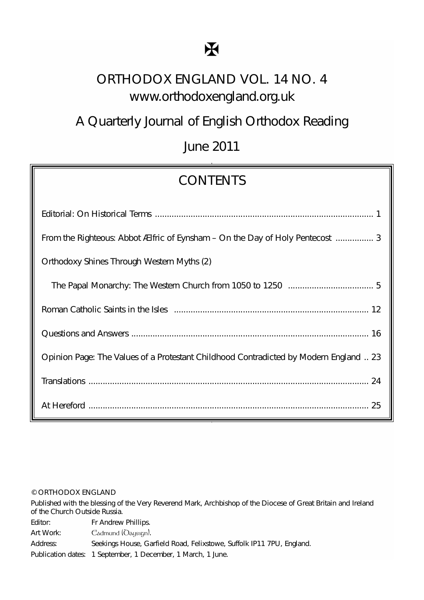# ORTHODOX ENGLAND VOL. 14 NO. 4 www.orthodoxengland.org.uk

 $\mathbf K$ 

# A Quarterly Journal of English Orthodox Reading

# **June 2011**

# **CONTENTS**

| From the Righteous Abbot Ælfric of Eynsham - On the Day of Holy Pentecost  3          |
|---------------------------------------------------------------------------------------|
| Orthodoxy Shines Through Western Myths (2)                                            |
|                                                                                       |
|                                                                                       |
|                                                                                       |
| Opinion Page: The Values of a Protestant Childhood Contradicted by Modern England  23 |
|                                                                                       |
|                                                                                       |

#### © ORTHODOX ENGLAND

Published with the blessing of the Very Reverend Mark, Archbishop of the Diocese of Great Britain and Ireland of the Church Outside Russia.

Fditor: Fr Andrew Phillips.

Art Work: Cadmund (Oaysign).

**Address:** Seekings House, Garfield Road, Felixstowe, Suffolk IP11 7PU, England.

Publication dates: 1 September, 1 December, 1 March, 1 June.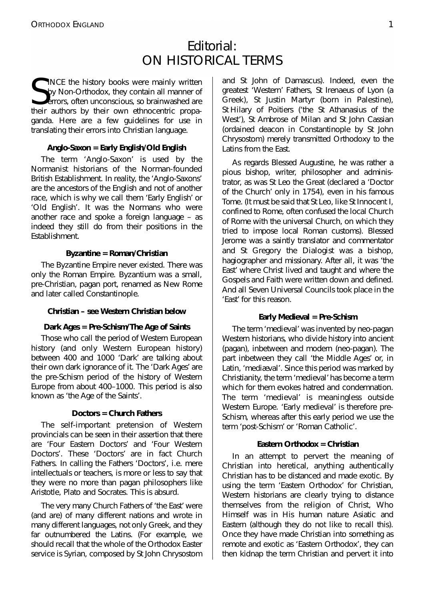# Editorial: ON HISTORICAL TERMS

 $S_{\text{eq}}^{\text{IN}}$  $\blacksquare$ INCE the history books were mainly written by Non-Orthodox, they contain all manner of errors, often unconscious, so brainwashed are their authors by their own ethnocentric propaganda. Here are a few guidelines for use in translating their errors into Christian language.

## **Anglo-Saxon = Early English/Old English**

The term 'Anglo-Saxon' is used by the Normanist historians of the Norman-founded British Establishment. In reality, the 'Anglo-Saxons' are the ancestors of the English and not of another race, which is why we call them 'Early English' or 'Old English'. It was the Normans who were another race and spoke a foreign language - as indeed they still do from their positions in the Establishment.

# **Byzantine = Roman/Christian**

The Byzantine Empire never existed. There was only the Roman Empire. Byzantium was a small, pre-Christian, pagan port, renamed as New Rome and later called Constantinople.

#### **Chri sti an – seeWestern Chri sti an bel o w**

**Dark**  $Ages = Pre-Schism/The Age of Saints$ 

Those who call the period of Western European history (and only Western European history) between 400 and 1000 'Dark' are talking about their own dark ignorance of it The 'Dark Ages' are the pre-Schism period of the history of Western Europe from about 400-1000. This period is also known as 'the Age of the Saints'.

# **Doctors** = **Church Fathers**

The self-important pretension of Western provincials can be seen in their assertion that there are 'Four Eastern Doctors' and 'Four Western Doctors'. These 'Doctors' are in fact Church Fathers. In calling the Fathers 'Doctors', i.e. mere intellectuals or teachers, is more or less to say that they were no more than pagan philosophers like Aristotle, Plato and Socrates. This is absurd.

The very many Church Fathers of 'the East' were (and are) of many different nations and wrote in many different languages, not only Greek, and they far outnumbered the Latins. (For example, we should recall that the whole of the Orthodox Faster service is Syrian, composed by St John Chrysostom

and St John of Damascus). Indeed, even the greatest 'Western' Fathers, St Irenaeus of Lyon (a Greek), St Justin Martyr (born in Palestine), St Hilary of Poitiers ('the St Athanasius of the West'), St Ambrose of Milan and St John Cassian (ordained deacon in Constantinople by St John Chrysostom) merely transmitted Orthodoxy to the Latins from the East.

As regards Blessed Augustine, he was rather a pious bishop, writer, philosopher and administrator, as was St Leo the Great (declared a 'Doctor of the Church' only in 1754), even in his famous Tome. (It must be said that St Leo, like St Innocent I, confined to Rome, often confused the local Church of Rome with the universal Church, on which they tried to impose local Roman customs). Blessed Jerome was a saintly translator and commentator and St Gregory the Dialogist was a bishop, hagiographer and missionary. After all, it was 'the East' where Christ lived and taught and where the Gospels and Faith were written down and defined. And all Seven Universal Councils took place in the 'East' for this reason.

# **Early Medieval = Pre-Schism**

The term 'medieval' was invented by neo-pagan Western historians, who divide history into ancient (pagan), inbetween and modern (neo-pagan). The part inbetween they call 'the Middle Ages' or, in Latin, '*mediæval'*. Since this period was marked by Christianity, the term 'medieval' has become a term which for them evokes hatred and condemnation. The term 'medieval' is meaningless outside Western Europe. 'Early medieval' is therefore pre-Schism, whereas after this early period we use the term 'post-Schism' or 'Roman Catholic'.

# **Eastern Orthodox = Christian**

In an attempt to pervert the meaning of Christian into heretical, anything authentically Christian has to be distanced and made exotic. By using the term 'Eastern Orthodox' for Christian, Western historians are clearly trying to distance themselves from the religion of Christ, Who Himself was in His human nature Asiatic and Eastern (although they do not like to recall this). Once they have made Christian into something as remote and exotic as 'Eastern Orthodox', they can then kidnap the term Christian and pervert it into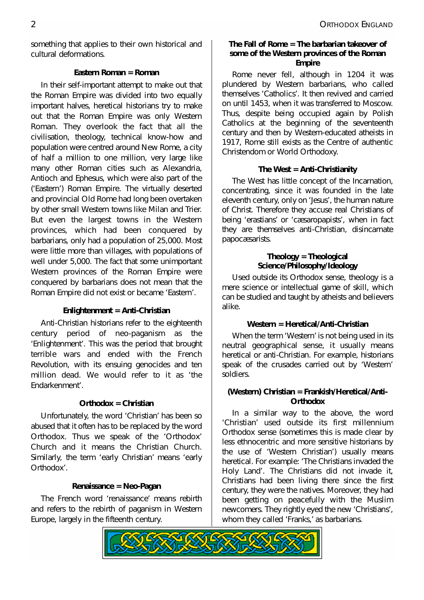something that applies to their own historical and cultural deformations

# **Eastern Roman = Roman**

In their self-important attempt to make out that the Roman Empire was divided into two equally important halves, heretical historians try to make out that the Roman Empire was only Western Roman. They overlook the fact that all the civilisation, theology, technical know-how and population were centred around New Rome, a city of half a million to one million, very large like many other Roman cities such as Alexandria. Antioch and Ephesus, which were also part of the ('Eastern') Roman Empire. The virtually deserted and provincial Old Rome had long been overtaken by other small Western towns like Milan and Trier. But even the largest towns in the Western provinces, which had been conquered by barbarians, only had a population of 25,000. Most were little more than villages, with populations of well under 5,000. The fact that some unimportant Western provinces of the Roman Empire were conquered by barbarians does not mean that the Roman Empire did not exist or became 'Eastern'.

# **Enlightenment** = Anti-Christian

Anti-Christian historians refer to the eighteenth century period of neo-paganism as the 'Enlightenment. This was the period that brought terrible wars and ended with the French Revolution, with its ensuing genocides and ten million dead. We would refer to it as 'the Endarkenment'.

# $O$  **rthodox** = **Christian**

Unfortunately, the word 'Christian' has been so abused that it often has to be replaced by the word Orthodox. Thus we speak of the 'Orthodox' Church and it means the Christian Church. Similarly, the term 'early Christian' means 'early Orthodox'.

# **Renai ssance= Neo-Paga n**

The French word 'renaissance' means rebirth and refers to the rebirth of paganism in Western Europe, largely in the fifteenth century.

# **The Fall of Rome = The barbarian takeover of some of the Western provinces of the Roman Empire**

Rome never fell, although in 1204 it was plundered by Western barbarians, who called themselves 'Catholics'. It then revived and carried on until 1453, when it was transferred to Moscow. Thus, despite being occupied again by Polish Catholics at the beginning of the seventeenth century and then by Western-educated atheists in 1917. Rome still exists as the Centre of authentic Christendom or World Orthodoxy.

# **TheWest = Anti -Chri sti ani t y**

The West has little concept of the Incarnation, concentrating, since it was founded in the late eleventh century, only on 'Jesus', the human nature of Christ Therefore they accuse real Christians of being 'erastians' or ' cæsaropapists', when in fact they are themselves anti-Christian, disincarnate papocæsari sts .

## **Theology = Theological Sci ence/Phi l osop hy/I deol og y**

Used outside its Orthodox sense, theology is a mere science or intellectual game of skill, which can be studied and taught by atheists and believers alike.

#### **Western = Hereti cal /Anti -Chri sti a n**

When the term 'Western' is not being used in its neutral geographical sense, it usually means heretical or anti-Christian. For example, historians speak of the crusades carried out by 'Western' sol diers.

#### **(Western) Chri sti an = Franki sh/Hereti cal /Anti -** Orthodox

In a similar way to the above, the word ' Christian' used outside its first millennium Orthodox sense (sometimes this is made clear by less ethnocentric and more sensitive historians by the use of 'Western Christian') usually means heretical. For example: 'The Christians invaded the Holy Land'. The Christians did not invade it, Christians had been living there since the first century, they were the natives. Moreover, they had been getting on peacefully with the Muslim newcomers. They rightly eyed the new 'Christians', whom they called 'Franks,' as barbarians.

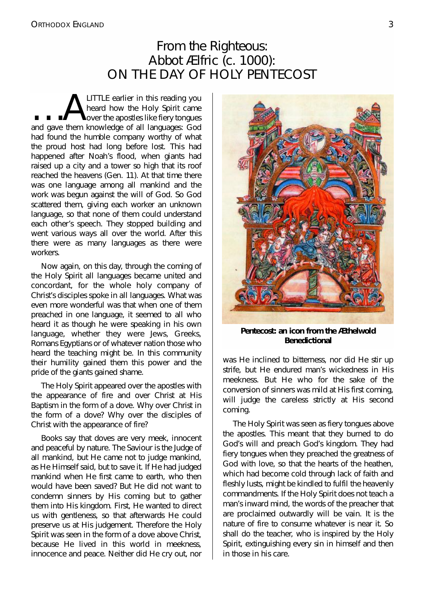# From the Righteous: Abbot *Ælfric* (*c.* 1000): ON THE DAY OF HOLY PENTECOST

LITTLE earlier in this reading you<br>
wer the apostles like fiery tongues<br>
and gave them knowledge of all languages. God heard how the Holy Spirit came over the apostles like fiery tongues and gave them knowledge of all languages: God had found the humble company worthy of what the proud host had long before lost. This had happened after Noah's flood, when giants had raised up a city and a tower so high that its roof reached the heavens (Gen. 11). At that time there was one language among all mankind and the work was begun against the will of God. So God scattered them, giving each worker an unknown language, so that none of them could understand each other's speech. They stopped building and went various ways all over the world. After this there were as many languages as there were workers.

Now again, on this day, through the coming of the Holy Spirit all languages became united and concordant, for the whole holy company of Christ's disciples spoke in all languages. What was even more wonderful was that when one of them preached in one language, it seemed to all who heard it as though he were speaking in his own language, whether they were Jews, Greeks, Romans Egyptians or of whatever nation those who heard the teaching might be. In this community their humility gained them this power and the pride of the giants gained shame.

The Holy Spirit appeared over the apostles with the appearance of fire and over Christ at His Baptism in the form of a dove. Why over Christ in the form of a dove? Why over the disciples of Christ with the appearance of fire?

Books say that doves are very meek, innocent and peaceful by nature. The Saviour is the Judge of all mankind, but He came not to judge mankind, as He Himself said, but to save it. If He had judged mankind when He first came to earth, who then would have been saved? But He did not want to condemn sinners by His coming but to gather them into His kingdom. First, He wanted to direct us with gentleness, so that afterwards He could preserve us at His judgement. Therefore the Holy Spirit was seen in the form of a dove above Christ because He lived in this world in meekness innocence and peace. Neither did He cry out, nor



*Pentecost: an icon from the Æthelwold Benedi cti ona l*

was He inclined to bitterness, nor did He stir up strife, but He endured man's wickedness in His meekness. But He who for the sake of the conversion of sinners was mild at His first coming, will judge the careless strictly at His second comina.

The Holy Spirit was seen as fiery tongues above the apostles. This meant that they burned to do God's will and preach God's kingdom. They had fiery tongues when they preached the greatness of God with love, so that the hearts of the heathen, which had become cold through lack of faith and fleshly lusts, might be kindled to fulfil the heavenly commandments. If the Holy Spirit does not teach a man's inward mind, the words of the preacher that are proclaimed outwardly will be vain. It is the nature of fire to consume whatever is near it. So shall do the teacher, who is inspired by the Holy Spirit, extinguishing every sin in himself and then in those in his care.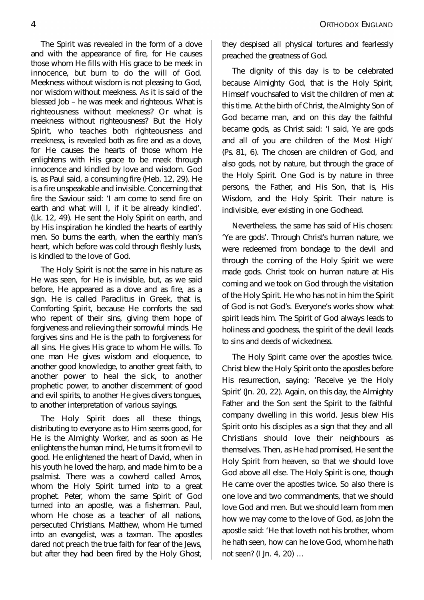The Spirit was revealed in the form of a dove and with the appearance of fire, for He causes those whom He fills with His grace to be meek in innocence, but burn to do the will of God. Meekness without wisdom is not pleasing to God, nor wisdom without meekness. As it is said of the blessed Job - he was meek and righteous. What is righteousness without meekness? Or what is meekness without righteousness? But the Holy Spirit, who teaches both righteousness and meekness, is revealed both as fire and as a dove, for He causes the hearts of those whom He enlightens with His grace to be meek through innocence and kindled by love and wisdom. God is, as Paul said, a consuming fire (Heb. 12, 29). He is a fire unspeakable and invisible. Concerning that fire the Saviour said: 'I am come to send fire on earth and what will I, if it be already kindled'. (Lk. 12, 49). He sent the Holy Spirit on earth, and by His inspiration he kindled the hearts of earthly men. So burns the earth, when the earthly man's heart, which before was cold through fleshly lusts, is kindled to the love of God

The Holy Spirit is not the same in his nature as He was seen, for He is invisible, but, as we said before, He appeared as a dove and as fire, as a sign. He is called *Paraclitus* in Greek, that is, Comforting Spirit, because He comforts the sad who repent of their sins, giving them hope of forgiveness and relieving their sorrowful minds. He forgives sins and He is the path to forgiveness for all sins. He gives His grace to whom He wills. To one man He gives wisdom and eloquence, to another good knowledge, to another great faith, to another power to heal the sick, to another prophetic power, to another discernment of good and evil spirits, to another He gives divers tongues. to another interpretation of various sayings.

The Holy Spirit does all these things, distributing to everyone as to Him seems good, for He is the Almighty Worker, and as soon as He enlightens the human mind, He turnsit from evil to good. He enlightened the heart of David, when in his youth he loved the harp, and made him to be a psalmist. There was a cowherd called Amos, whom the Holy Spirit turned into to a great prophet Peter, whom the same Spirit of God turned into an apostle, was a fisherman. Paul, whom He chose as a teacher of all nations, persecuted Christians. Matthew, whom He turned into an evangelist, was a taxman. The apostles dared not preach the true faith for fear of the Jews, but after they had been fired by the Holy Ghost,

they despised all physical tortures and fearlessly preached the greatness of God.

The dignity of this day is to be celebrated because Almighty God, that is the Holy Spirit Himself vouchsafed to visit the children of men at this time. At the birth of Christ, the Almighty Son of God became man, and on this day the faithful became gods, as Christ said: 'I said, Ye are gods and all of you are children of the Most High' (Ps. 81, 6). The chosen are children of God, and also gods, not by nature, but through the grace of the Holy Spirit. One God is by nature in three persons, the Father, and His Son, that is, His Wisdom, and the Holy Spirit Their nature is indivisible, ever existing in one Godhead.

Nevertheless, the same has said of His chosen: 'Ye are gods'. Through Christ's human nature, we were redeemed from bondage to the devil and through the coming of the Holy Spirit we were made gods. Christ took on human nature at His coming and we took on God through the visitation of the Holy Spirit. He who has not in him the Spirit of God is not God's. Everyone's works show what spirit leads him. The Spirit of God always leads to holiness and goodness, the spirit of the devil leads to sins and deeds of wickedness.

The Holy Spirit came over the apostles twice. Christ blew the Holy Spirit onto the apostles before His resurrection, saying: 'Receive ye the Holy Spirit ( $\ln$ . 20, 22). Again, on this day, the Almighty Father and the Son sent the Spirit to the faithful company dwelling in this world. Jesus blew His Spirit onto his disciples as a sign that they and all Christians should love their neighbours as themselves. Then, as He had promised, He sent the Holy Spirit from heaven, so that we should love God above all else. The Holy Spirit is one, though He came over the apostles twice. So also there is one love and two commandments, that we should love God and men. But we should learn from men how we may come to the love of God, as John the apostle said: 'He that loveth not his brother, whom he hath seen, how can he love God, whom he hath not seen? (I Jn. 4, 20) ...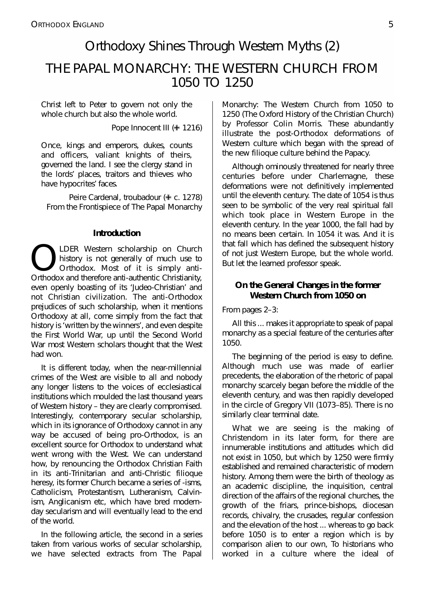# Orthodoxy Shines Through Western Myths (2) THE PAPAL MONARCHY: THE WESTERN CHURCH FROM 1050TO 1250

Christ left to Peter to govern not only the whole church but also the whole world.

*Pope Innocent III* ( $\equiv$  1216)

Once, kings and emperors, dukes, counts and officers, valiant knights of theirs, governed the land. I see the clergy stand in the lords' places, traitors and thieves who have hypocrites' faces.

*Peire Cardenal, troubadour (* $\div$  *c. 1278)* From the Fronti spiece of *The Papal Monarchy* 

# **Introduction**

**O** LDER Western scholarship on Church history is not generally of much use to Orthodox. Most of it is simply anti-<br>Orthodox and therefore anti-authentic Christianity LDER Western scholarship on Church history is not generally of much use to Orthodox. Most of it is simply antieven openly boasting of its 'Judeo-Christian' and not Christian civilization. The anti-Orthodox prejudices of such scholarship, when it mentions Orthodoxy at all, come simply from the fact that history is 'written by the winners', and even despite the First World War, up until the Second World War most Western scholars thought that the West had won.

It is different today, when the near-millennial crimes of the West are visible to all and nobody any longer listens to the voices of ecclesiastical institutions which moulded the last thousand years of Western history - they are clearly compromised. Interestingly, contemporary secular scholarship, which in its janorance of Orthodoxy cannot in any way be accused of being pro-Orthodox, is an excellent source for Orthodox to understand what went wrong with the West. We can understand how, by renouncing the Orthodox Christian Faith in its anti-Trinitarian and anti-Christic *filioque* heresy, its former Church became a series of -isms, Catholicism, Protestantism, Lutheranism, Calvinism, Anglicanism etc, which have bred modernday secularism and will eventually lead to the end of the world.

In the following article, the second in a series taken from various works of secular scholarship, we have selected extracts from The Papal

*Monarchy: The Western Church from 1050 to* 1250 (The Oxford History of the Christian Church) by Professor Colin Morris. These abundantly illustrate the post-Orthodox deformations of Western culture which began with the spread of the new *filioque* culture behind the Papacy.

Although ominously threatened for nearly three centuries before under Charlemagne, these deformations were not definitively implemented until the eleventh century. The date of 1054 is thus seen to be symbolic of the very real spiritual fall which took place in Western Europe in the eleventh century. In the year 1000, the fall had by no means been certain. In 1054 it was. And it is that fall which has defined the subsequent history of not just Western Europe, but the whole world. But let the learned professor speak.

# **On the General Changes in the former Western Church from 1050 on**

#### **From pages 2-3:**

All this... makes it appropriate to speak of papal monarchy as a special feature of the centuries after 1050.

The beginning of the period is easy to define. Although much use was made of earlier precedents, the elaboration of the rhetoric of papal monarchy scarcely began before the middle of the eleventh century, and was then rapidly developed in the circle of Gregory VII (1073–85). There is no similarly clear terminal date.

What we are seeing is the making of Christendom in its later form, for there are innumerable institutions and attitudes which did not exist in 1050, but which by 1250 were firmly established and remained characteristic of modern history. Among them were the birth of theology as an academic discipline, the inquisition, central di rection of the affairs of the regional churches, the growth of the friars, prince-bishops, diocesan records, chivalry, the crusades, regular confession and the elevation of the host ... whereas to go back before 1050 is to enter a region which is by comparison alien to our own. To historians who worked in a culture where the ideal of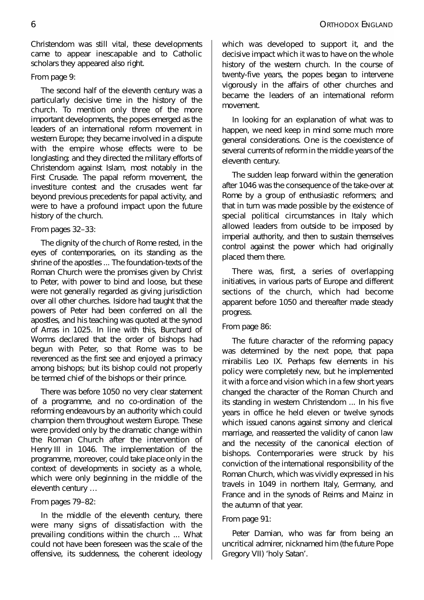Christendom was still vital, these developments came to appear inescapable and to Catholic scholars they appeared also right.

# *From page 9:*

The second half of the eleventh century was a particularly decisive time in the history of the church. To mention only three of the more important devel opments, the popes emerged as the leaders of an international reform movement in western Europe; they became involved in a dispute with the empire whose effects were to be longlasting; and they directed the military efforts of Christendom against Islam, most notably in the First Crusade. The papal reform movement, the investiture contest and the crusades went far beyond previous precedents for papal activity, and were to have a profound impact upon the future history of the church.

# From pages 32-33:

The dignity of the church of Rome rested, in the eyes of contemporaries, on its standing as the shrine of the apostles... The foundation-texts of the Roman Church were the promises given by Christ to Peter, with power to bind and loose, but these were not generally regarded as giving jurisdiction over all other churches. Is dore had taught that the powers of Peter had been conferred on all the apostles, and his teaching was quoted at the synod of Arras in 1025. In line with this, Burchard of Worms declared that the order of bishops had begun with Peter, so that Rome was to be reverenced as the first see and enjoyed a primacy among bishops; but its bishop could not properly be termed chief of the bishops or their prince.

There was before 1050 no very clear statement of a programme, and no co-ordination of the reforming endeavours by an authority which could champion them throughout western Europe. These were provided only by the dramatic change within the Roman Church after the intervention of Henry III in 1046. The implementation of the programme, moreover, could take place only in the context of developments in society as a whole, which were only beginning in the middle of the el eventh century ...

# From pages 79-82:

In the middle of the eleventh century, there were many signs of dissatisfaction with the prevailing conditions within the church ... What could not have been foreseen was the scale of the offensive, its suddenness, the coherent ideology

which was developed to support it, and the decisive impact which it was to have on the whole history of the western church. In the course of twenty-five years, the popes began to intervene vigorously in the affairs of other churches and became the leaders of an international reform movement.

In looking for an explanation of what was to happen, we need keep in mind some much more general considerations. One is the coexistence of several currents of reform in the middle years of the eleventh century.

The sudden leap forward within the generation after 1046 was the consequence of the take-over at Rome by a group of enthusiastic reformers; and that in turn was made possible by the existence of special political circumstances in Italy which allowed leaders from outside to be imposed by imperial authority, and then to sustain themselves control against the power which had originally placed them there.

There was, first, a series of overlapping initiatives, in various parts of Europe and different sections of the church, which had become apparent before 1050 and thereafter made steady progress.

# *From page 86:*

The future character of the reforming papacy was determined by the next pope, that *papa mirabilis* Leo IX. Perhaps few elements in his policy were completely new, but he implemented it with a force and vision which in a few short years changed the character of the Roman Church and its standing in western Christendom ... In his five years in office he held eleven or twelve synods which issued canons against simony and clerical marriage, and reasserted the validity of canon law and the necessity of the canonical election of bishops. Contemporaries were struck by his conviction of the international responsibility of the Roman Church, which was vividly expressed in his travels in 1049 in northern Italy, Germany, and France and in the synods of Reims and Mainz in the autumn of that year.

# *From page 91:*

Peter Damian, who was far from being an uncritical admirer, nicknamed him (the future Pope Gregory VII) 'holy Satan'.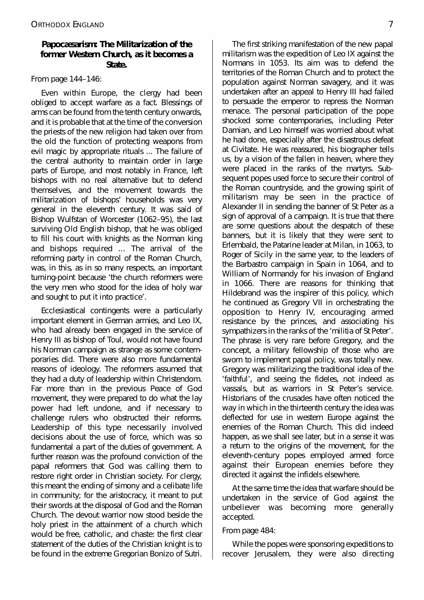# **Papocæsarism: The Militarization of the former Western Church, asi tbe comes a** State.

## *From page 144-146:*

Even within Europe, the clergy had been obliged to accept warfare as a fact. Blessings of arms can be found from the tenth century onwards, and it is probable that at the time of the conversion the priests of the new religion had taken over from the old the function of protecting weapons from evil magic by appropriate rituals ... The failure of the central authority to maintain order in large parts of Europe, and most notably in France, left bishops with no real alternative but to defend themselves, and the movement towards the militarization of bishops' households was very general in the eleventh century. It was said of Bishop Wulfstan of Worcester (1062-95), the last surviving Old English bishop, that he was obliged to fill his court with knights as the Norman king and bishops required ... The arrival of the reforming party in control of the Roman Church, was, in this, as in so many respects, an important turning-point because 'the church reformers were the very men who stood for the idea of holy war and sought to put it into practice'.

Ecclesiastical contingents were a particularly important element in German armies, and Leo IX, who had already been engaged in the service of Henry III as bishop of Toul, would not have found his Norman campaign as strange as some contemporaries did. There were also more fundamental reasons of ideology. The reformers assumed that they had a duty of leadership within Christendom. Far more than in the previous Peace of God movement, they were prepared to do what the lay power had left undone, and if necessary to challenge rulers who obstructed their reforms. Leadership of this type necessarily involved decisions about the use of force, which was so fundamental a part of the duties of government. A further reason was the profound conviction of the papal reformers that God was calling them to restore right order in Christian society. For clergy, this meant the ending of simony and a celibate life in community; for the aristocracy, it meant to put their swords at the disposal of God and the Roman Church. The devout warrior now stood beside the holy priest in the attainment of a church which would be free, catholic, and chaste: the first clear statement of the duties of the Christian knight is to be found in the extreme Gregorian Bonizo of Sutri.

The first striking manifestation of the new papal militarism was the expedition of Leo IX against the Normans in 1053. Its aim was to defend the terri tories of the Roman Church and to protect the population against Norman savagery, and it was undertaken after an appeal to Henry III had failed to persuade the emperor to repress the Norman

menace. The personal participation of the pope shocked some contemporaries, including Peter Damian, and Leo himself was worried about what he had done, especially after the disastrous defeat at Civitate. He was reassured, his biographer tells us, by a vision of the fallen in heaven, where they were placed in the ranks of the martyrs. Subsequent popes used force to secure their control of the Roman countryside, and the growing spirit of militarism may be seen in the practice of Alexander II in sending the banner of St Peter as a sign of approval of a campaign. It is true that there are some questions about the despatch of these banners, but it is likely that they were sent to Erlembald, the Patarine leader at Milan, in 1063, to Roger of Sicily in the same year, to the leaders of the Barbastro campaign in Spain in 1064, and to William of Normandy for his invasion of England in 1066. There are reasons for thinking that Hildebrand was the inspirer of this policy, which he continued as Gregory VII in orchestrating the opposition to Henry IV, encouraging armed resistance by the princes, and associating his sympathizers in the ranks of the 'militia of St Peter'. The phrase is very rare before Gregory, and the concept a military fellowship of those who are sworn to implement papal policy, was totally new. Gregory was militarizing the traditional idea of the ' faithful', and seeing the fideles, not indeed as vassals, but as warriors in St Peter's service. Historians of the crusades have often noticed the way in which in the thirteenth century the idea was deflected for use in western Europe against the enemies of the Roman Church. This did indeed happen, as we shall see later, but in a sense it was a return to the origins of the movement, for the eleventh-century popes employed armed force against their European enemies before they directed it against the infidels elsewhere.

At the same time the idea that warfare should be undertaken in the service of God against the unbeliever was becoming more generally accepted.

#### *From page 484:*

While the popes were sponsoring expeditions to recover Jerusalem, they were also directing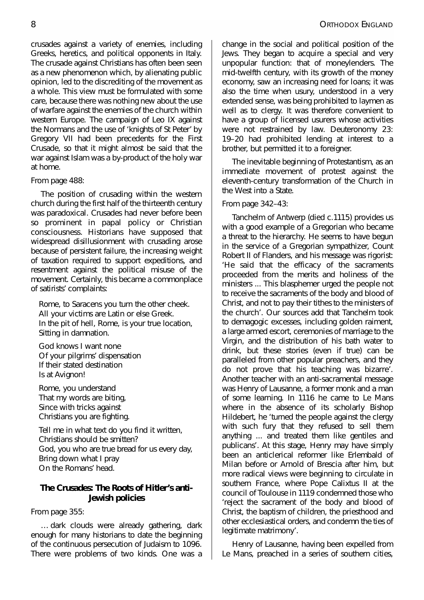crusades against a variety of enemies, including Greeks, heretics, and political opponents in Italy. The crusade against Christians has often been seen as a new phenomenon which, by alienating public opinion, led to the discrediting of the movement as a whole. This view must be formulated with some care, because there was nothing new about the use of warfare against the enemies of the church within western Europe. The campaign of Leo IX against the Normans and the use of 'knights of St Peter' by Gregory VII had been precedents for the First Crusade, so that it might almost be said that the war against Islam was a by-product of the holy war at home.

#### From page 488:

The position of crusading within the western church during the first half of the thirteenth century was paradoxical. Crusades had never before been so prominent in papal policy or Christian consciousness. Historians have supposed that widespread disillusionment with crusading arose because of persistent failure, the increasing weight of taxation required to support expeditions, and resentment against the political misuse of the movement Certainly, this became a commonplace of satirists' complaints

Rome, to Saracens you turn the other cheek. All your victims are Latin or else Greek. In the pit of hell, Rome, is your true location, Sitting in damnation.

God knows I want none Of your pilgrims' dispensation If their stated destination Is at Avignon!

Rome, you understand That my words are biting, Since with tricks against Christians you are fighting.

Tell me in what text do you find it written, Christians should be smitten? God, you who are true bread for us every day, Bring down what I pray On the Romans' head.

# The Crusades: The Roots of Hitler's anti-Jewish policies

#### From page 355:

... dark clouds were already gathering, dark enough for many historians to date the beginning of the continuous persecution of Judaism to 1096. There were problems of two kinds. One was a

change in the social and political position of the Jews. They began to acquire a special and very unpopular function: that of moneylenders. The mid-twelfth century, with its growth of the money economy, saw an increasing need for loans; it was also the time when usury, understood in a very extended sense, was being prohibited to laymen as well as to clergy. It was therefore convenient to have a group of licensed usurers whose activities were not restrained by law. Deuteronomy 23: 19-20 had prohibited lending at interest to a brother, but permitted it to a foreigner.

The inevitable beginning of Protestantism, as an immediate movement of protest against the eleventh-century transformation of the Church in the West into a State.

#### From page 342-43:

Tanchelm of Antwerp (died c.1115) provides us with a good example of a Gregorian who became a threat to the hierarchy. He seems to have begun in the service of a Gregorian sympathizer. Count Robert II of Flanders, and his message was rigorist 'He said that the efficacy of the sacraments proceeded from the merits and holiness of the ministers ... This blasphemer urged the people not to receive the sacraments of the body and blood of Christ and not to pay their tithes to the ministers of the church'. Our sources add that Tanchelm took to demagogic excesses, including golden raiment, a large armed escort, ceremonies of marriage to the Virgin, and the distribution of his bath water to drink, but these stories (even if true) can be paralleled from other popular preachers, and they do not prove that his teaching was bizarre'. Another teacher with an anti-sacramental message was Henry of Lausanne, a former monk and a man of some learning. In 1116 he came to Le Mans where in the absence of its scholarly Bishop Hildebert, he 'tumed the people against the clergy with such fury that they refused to sell them anything ... and treated them like gentiles and publicans. At this stage, Henry may have simply been an anticlerical reformer like Erlembald of Milan before or Arnold of Brescia after him, but more radical views were beginning to circulate in southern France, where Pope Calixtus II at the council of Toulouse in 1119 condemned those who 'reject the sacrament of the body and blood of Christ, the baptism of children, the priesthood and other ecclesiastical orders, and condemn the ties of legitimate matrimony'.

Henry of Lausanne, having been expelled from Le Mans, preached in a series of southern cities,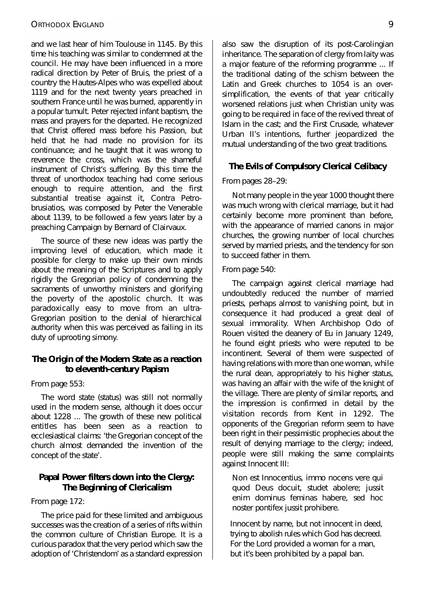#### ORTHODOX ENGLAND 9

and we last hear of him Toulouse in 1145. By this time his teaching was similar to condemned at the council. He may have been influenced in a more radical direction by Peter of Bruis, the priest of a country the Hautes-Alpes who was expelled about 1119 and for the next twenty years preached in southern France until he was burned, apparently in a popular tumult. Peter rejected infant baptism, the mass and prayers for the departed. He recognized that Christ offered mass before his Passion, but held that he had made no provision for its continuance; and he taught that it was wrong to reverence the cross, which was the shameful instrument of Christ's suffering. By this time the threat of unorthodox teaching had come serious enough to require attention, and the first substantial treatise against it, Contra Petro**brusiatios** was composed by Peter the Venerable about 1139, to be followed a few years later by a preaching Campaign by Bernard of Clairvaux.

The source of these new ideas was partly the improving level of education, which made it possible for clergy to make up their own minds about the meaning of the Scriptures and to apply rigidly the Gregorian policy of condemning the sacraments of unworthy ministers and glorifying the poverty of the apostolic church. It was paradoxically easy to move from an ultra-Gregorian position to the denial of hierarchical authority when this was perceived as failing in its duty of uprooting simony.

# **The Origin of the Modern State as a reaction**  $to$  eleventh-century Papism

#### From page 553:

The word state (status) was still not normally used in the modern sense, although it does occur about 1228 ... The growth of these new political entitles has been seen as a reaction to ecclesiastical claims: 'the Gregorian concept of the church almost demanded the invention of the concept of the state'.

# **Papal Power fi l tersdown i nto the Cl ergy: The Beginning of Clericalism**

#### *Frompage1 72:*

The price paid for these limited and ambiguous successes was the creation of a series of rifts within the common culture of Christian Europe. It is a curious paradox that the very period which saw the adoption of 'Christendom' as a standard expression also saw the disruption of its post-Carolingian inheritance. The separation of clergy from laity was a major feature of the reforming programme ... If the traditional dating of the schism between the Latin and Greek churches to 1054 is an oversimplification, the events of that year critically worsened relations just when Christian unity was going to be required in face of the revived threat of Islam in the cast and the First Crusade, whatever Urban II's intentions, further ieopardized the mutual understanding of the two great traditions.

# **TheE vi l sofCompul soryCl eri c al Cel i bacy**

#### From pages 28-29:

Notmany people in the year 1000 thought there was much wrong with clerical marriage, but it had certainly become more prominent than before, with the appearance of married canons in major churches, the growing number of local churches served by married priests, and the tendency for son to succeed father in them

#### *From page 540:*

The campaign against clerical marriage had undoubtedly reduced the number of married priests, perhaps almost to vanishing point, but in consequence it had produced a great deal of sexual immorality. When Archbishop Odo of Rouen visited the deanery of Eu in January 1249, he found eight priests who were reputed to be incontinent. Several of them were suspected of having relations with more than one woman, while the rural dean, appropriately to his higher status, was having an affair with the wife of the knight of the village. There are plenty of similar reports, and the impression is confirmed in detail by the visitation records from Kent in 1292. The opponents of the Gregorian reform seem to have been right in their pessimistic prophecies about the result of denving marriage to the clergy; indeed, people were still making the same complaints against Innocent III:

*Non est Innocentius, immo nocens vere qui q uod Deus d ocui t, studet ab ol ere; jussi t eni m d omi n us femi nas habere, sed hoc noster ponti fex jussi tprohi bere.* 

Innocent by name, but not innocent in deed, trying to abolish rules which God has decreed. For the Lord provided a woman for a man, but it's been prohibited by a papal ban.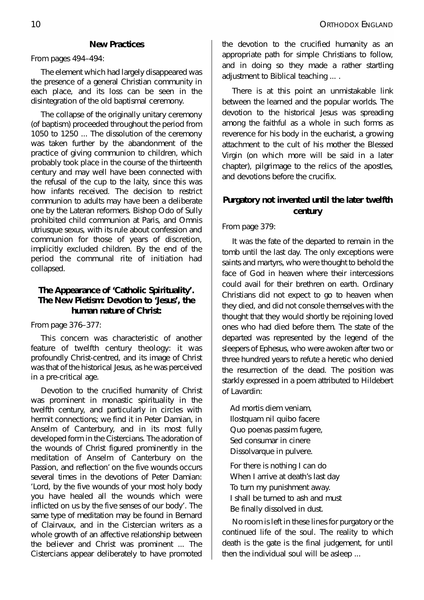## **New Practices**

## *From pages 494-494:*

The element which had largely disappeared was the presence of a general Christian community in each place, and its loss can be seen in the disintegration of the old baptismal ceremony.

The collapse of the originally unitary ceremony (of baptism) proceeded throughout the period from 1050 to 1250 ... The dissolution of the ceremony was taken further by the abandonment of the practice of giving communion to children, which probably took place in the course of the thirteenth century and may well have been connected with the refusal of the cup to the laity, since this was how infants received. The decision to restrict communion to adults may have been a deliberate one by the Lateran reformers. Bishop Odo of Sully prohibited child communion at Paris, and *Omnis utriusque sexus*, with its rule about confession and communion for those of years of discretion, implicitly excluded children. By the end of the period the communal rite of initiation had collapsed.

# $The$  **Appearance of 'Catholic Spirituality'.**  $The New Pietism: Devotion to 'Jesus', the$ **human nature** of Christ:

## *Frompage3 76–377 :*

This concern was characteristic of another feature of twelfth century theology: it was profoundly Christ-centred, and its image of Christ was that of the historical Jesus, as he was perceived in a pre-critical age.

Devotion to the crucified humanity of Christ was prominent in monastic spirituality in the twelfth century, and particularly in circles with hermit connections; we find it in Peter Damian, in Anselm of Canterbury, and in its most fully developed form in the Cistercians. The adoration of the wounds of Christ figured prominently in the *meditation of Anselm of Canterbury on the Passion*, and reflection' on the five wounds occurs several times in the devotions of Peter Damian: 'Lord, by the five wounds of your most holy body you have healed all the wounds which were inflicted on us by the five senses of our body'. The same type of meditation may be found in Bernard of Clairvaux, and in the Cistercian writers as a whole growth of an affective relationship between the believer and Christ was prominent ... The Cistercians appear deliberately to have promoted

the devotion to the crucified humanity as an appropriate path for simple Christians to follow, and in doing so they made a rather startling adjustment to Biblical teaching ... .

There is at this point an unmistakable link between the learned and the popular worlds. The devotion to the historical Jesus was spreading among the faithful as a whole in such forms as reverence for his body in the eucharist, a growing attachment to the cult of his mother the Blessed Virgin (on which more will be said in a later chapter), pilgrimage to the relics of the apostles, and devotions before the crucifix.

# **Purgatory not invented until the later twelfth c entur y**

#### From page 379:

It was the fate of the departed to remain in the tomb until the last day. The only exceptions were saints and martyrs, who were thought to behold the face of God in heaven where their intercessions could avail for their brethren on earth. Ordinary Christians did not expect to go to heaven when they died, and did not console themselves with the thought that they would shortly be rejoining loved ones who had died before them. The state of the departed was represented by the legend of the sleepers of Ephesus, who were awoken after two or three hundred years to refute a heretic who denied the resurrection of the dead. The position was starkly expressed in a poem attributed to Hildebert of Lavardin:

*Ad morti sdi emveni am , <i>llostquam nil quibo facere Quo poenas passim fugere, Sed consumar i n ci ner e*  $D$  *issolvarque in pulvere.* 

For there is nothing I can do When I arrive at death's last day To turn my punishment away. I shall be turned to ash and must Be finally dissolved in dust.

No room is left in these lines for purgatory or the continued life of the soul. The reality to which death is the gate is the final judgement, for until then the individual soul will be asleep ...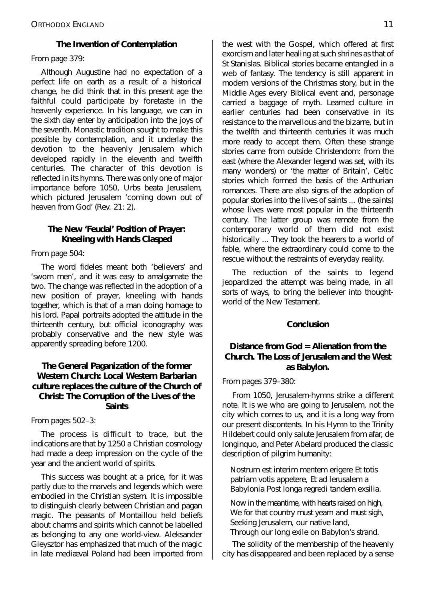## **The Invention of Contemplation**

## From page 379:

Although Augustine had no expectation of a perfect life on earth as a result of a historical change, he did think that in this present age the faithful could participate by foretaste in the heavenly experience. In his language, we can in the sixth day enter by anticipation into the joys of the seventh. Monastic tradition sought to make this possible by contemplation, and it underlay the devotion to the heavenly Jerusalem which developed rapidly in the eleventh and twelfth centuries. The character of this devotion is reflected in its hymns. There was only one of major importance before 1050, *Urbs beata Jerusalem*, which pictured Jerusalem 'coming down out of heaven from God' (Rev. 21: 2).

# **The New 'Feudal' Position of Prayer: Kneeling with Hands Clasped**

#### From page 504:

The word *fideles* meant both 'believers' and 'sworn men', and it was easy to amalgamate the two. The change was reflected in the adoption of a new position of prayer, kneeling with hands together, which is that of a man doing homage to his lord. Papal portraits adopted the attitude in the thirteenth century, but official iconography was probably conservative and the new style was apparently spreading before 1 200.

**The General Paganization of the former Western Church: Local Western Barbarian culture replaces the culture of the Church of Christ: The Corruption of the Lives of the Saints** 

#### From pages 502-3:

The process is difficult to trace, but the indications are that by 1250 a Christian cosmology had made a deep impression on the cycle of the year and the ancient world of spirits.

This success was bought at a price, for it was partly due to the marvels and legends which were embodied in the Christian system. It is impossible to distinguish clearly between Christian and pagan magic. The peasants of Montaillou held beliefs about charms and spirits which cannot be labelled as belonging to any one world-view. Aleksander Gieysz tor has emphasized that much of the magic in late mediæval Poland had been imported from

the west with the Gospel, which offered at first exorcism and later healing at such shrines as that of St Stanislas. Biblical stories became entangled in a web of fantasy. The tendency is still apparent in modern versions of the Christmas story, but in the Middle Ages every Biblical event and, personage carried a baggage of myth. Learned culture in earlier centuries had been conservative in its resistance to the marvellous and the bizarre, but in the twelfth and thirteenth centuries it was much more ready to accept them. Often these strange stories came from outside Christendom: from the east (where the Alexander legend was set, with its many wonders) or 'the matter of Britain', Celtic stories which formed the basis of the Arthurian romances. There are also signs of the adoption of popular stories into the lives of saints ... (the saints) whose lives were most popular in the thirteenth century. The latter group was remote from the contemporary world of them did not exist historically  $\ldots$  They took the hearers to a world of fable, where the extraordinary could come to the rescue without the restraints of everyday reality.

The reduction of the saints to legend jeopardized the attempt was being made, in all sorts of ways, to bring the believer into thoughtworld of the New Testament

#### **Co ncl usi o n**

 $Distance from God = Alienation from the$ **Church.** The Loss of Jerusalem and the West **asBabyl on.**

#### *Frompages379–380:*

From 1050, Jerusalem-hymns strike a different note. It is we who are going to Jerusalem, not the city which comes to us, and it is a long way from our present discontents. In his *Hymn to the Trinity* Hildebert could only salute Jerusalem from afar, *de longinguo*, and Peter Abelard produced the classic description of pilgrim humanity:

*Nostrum est interim mentem erigere Et totis patri amvoti sappetere, Et ad l erusal em a Babylonia Post longa regredi tandem exsilia.* 

Now in the meantime, with hearts raised on high, We for that country must yearn and must sigh, Seeking Jerusalem, our native land, Through our long exile on Babylon's strand.

The solidity of the membership of the heavenly city has disappeared and been replaced by a sense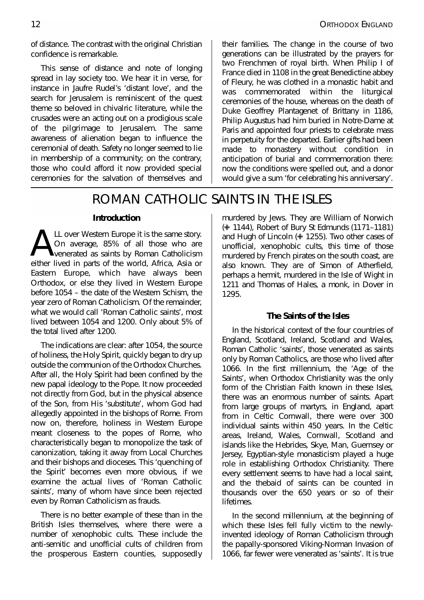of distance. The contrast with the original Christian confidence is remarkable.

This sense of distance and note of longing spread in lay society too. We hear it in verse, for instance in Jaufre Rudel's 'distant love', and the search for Jerusalem is reminiscent of the quest theme so beloved in chivalric literature, while the crusades were an acting out on a prodigious scale of the pilgrimage to Jerusalem. The same awareness of alienation began to influence the ceremonial of death. Safety no longer seemed to lie in membership of a community; on the contrary, those who could afford it now provided special ceremonies for the salvation of themselves and

their families. The change in the course of two generations can be illustrated by the prayers for two Frenchmen of royal birth. When Philip I of France died in 1108 in the great Benedictine abbey of Fleury, he was clothed in a monastic habit and was commemorated within the liturgical ceremonies of the house, whereas on the death of Duke Geoffrey Plantagenet of Brittany in 1186, Philip Augustus had him buried in Notre-Dame at Paris and appointed four priests to celebrate mass in perpetuity for the departed. Earlier gifts had been made to monastery without condition in anticipation of burial and commemoration there: now the conditions were spelled out, and a donor would give a sum 'for celebrating his anniversary'.

# ROMAN CATHOLIC SAINTS IN THE ISLES

## Introduction

LL over Western Europe it is the same story. On average, 85% of all those who are venerated as saints by Roman Catholicism either lived in parts of the world. Africa. Asia or Eastern Europe, which have always been Orthodox, or else they lived in Western Europe before 1054 - the date of the Western Schism, the year zero of Roman Catholicism. Of the remainder, what we would call 'Roman Catholic saints', most lived between 1054 and 1200. Only about 5% of the total lived after 1200.

The indications are clear: after 1054, the source of holiness, the Holy Spirit quickly began to dry up outside the communion of the Orthodox Churches. After all, the Holy Spirit had been confined by the new papal ideology to the Pope. It now proceeded not directly from God, but in the physical absence of the Son, from His 'substitute', whom God had allegedly appointed in the bishops of Rome. From now on, therefore, holiness in Western Europe meant closeness to the popes of Rome, who characteristically began to monopolize the task of canonization, taking it away from Local Churches and their bishops and dioceses. This 'quenching of the Spirit becomes even more obvious if we examine the actual lives of 'Roman Catholic saints', many of whom have since been rejected even by Roman Catholicism as frauds.

There is no better example of these than in the British Isles themselves, where there were a number of xenophobic cults. These include the anti-semitic and unofficial cults of children from the prosperous Eastern counties, supposedly murdered by Jews. They are William of Norwich (+ 1144), Robert of Bury St Edmunds (1171-1181) and Hugh of Lincoln (+ 1255). Two other cases of unofficial, xenophobic cults, this time of those murdered by French pirates on the south coast, are also known. They are of Simon of Atherfield, perhaps a hermit, murdered in the Isle of Wight in 1211 and Thomas of Hales, a monk, in Dover in 1295

#### The Saints of the Isles

In the historical context of the four countries of England, Scotland, Ireland, Scotland and Wales, Roman Catholic 'saints', those venerated as saints only by Roman Catholics, are those who lived after 1066. In the first millennium, the 'Age of the Saints', when Orthodox Christianity was the only form of the Christian Faith known in these Isles. there was an enormous number of saints. Apart from large groups of martyrs, in England, apart from in Celtic Cornwall, there were over 300 individual saints within 450 years. In the Celtic areas, Ireland, Wales, Cornwall, Scotland and islands like the Hebrides, Skye, Man, Guernsey or Jersey, Egyptian-style monasticism played a huge role in establishing Orthodox Christianity. There every settlement seems to have had a local saint. and the thebaid of saints can be counted in thousands over the 650 years or so of their lifetimes.

In the second millennium, at the beginning of which these Isles fell fully victim to the newlyinvented ideology of Roman Catholicism through the papally-sponsored Viking-Norman Invasion of 1066, far fewer were venerated as 'saints'. It is true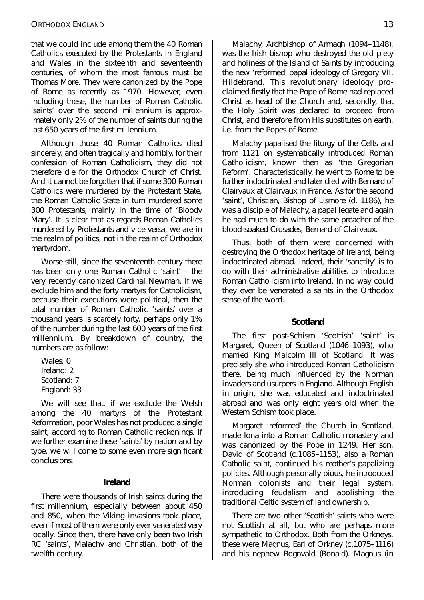# ORTHODOX ENGLAND

that we could include among them the 40 Roman Catholics executed by the Protestants in England and Wales in the sixteenth and seventeenth centuries, of whom the most famous must be Thomas More. They were canonized by the Pope of Rome as recently as 1970. However, even including these, the number of Roman Catholic 'saints' over the second millennium is approximately only 2% of the number of saints during the last 650 years of the first millennium.

Although those 40 Roman Catholics died sincerely, and often tragically and horribly, for their confession of Roman Catholicism, they did not therefore die for the Orthodox Church of Christ And it cannot be forgotten that if some 300 Roman Catholics were murdered by the Protestant State, the Roman Catholic State in turn murdered some 300 Protestants, mainly in the time of 'Bloody Mary'. It is clear that as regards Roman Catholics murdered by Protestants and vice versa, we are in the realm of politics, not in the realm of Orthodox martyrdom.

Worse still, since the seventeenth century there has been only one Roman Catholic 'saint' - the very recently canonized Cardinal Newman. If we exclude him and the forty martyrs for Catholicism, because their executions were political, then the total number of Roman Catholic 'saints' over a thousand years is scarcely forty, perhaps only 1% of the number during the last 600 years of the first millennium. By breakdown of country, the numbers are as follow:

 $N$ ales  $0$ Ireland: 2 Scotland: 7 England: 33

We will see that, if we exclude the Welsh among the 40 martyrs of the Protestant Reformation, poor Wales has not produced a single saint, according to Roman Catholic reckonings. If we further examine these 'saints' by nation and by type, we will come to some even more significant **conclusions** 

# Ireland

There were thousands of Irish saints during the first millennium, especially between about 450 and 850, when the Viking invasions took place, even if most of them were only ever venerated very locally. Since then, there have only been two Irish RC 'saints', Malachy and Christian, both of the twelfth century.

Malachy, Archbishop of Armagh (1094-1148), was the Irish bishop who destroved the old piety and holiness of the Island of Saints by introducing the new 'reformed' papal ideology of Gregory VII, Hildebrand. This revolutionary ideology proclaimed firstly that the Pope of Rome had replaced Christ as head of the Church and, secondly, that the Holy Spirit was declared to proceed from Christ, and therefore from His substitutes on earth, i.e. from the Popes of Rome.

Malachy papalised the liturgy of the Celts and from 1121 on systematically introduced Roman Catholicism, known then as 'the Gregorian Reform'. Characteristically, he went to Rome to be further indoctrinated and later died with Bernard of Clairvaux at Clairvaux in France. As for the second 'saint', Christian, Bishop of Lismore (d. 1186), he was a disciple of Malachy, a papal legate and again he had much to do with the same preacher of the blood-soaked Crusades, Bernard of Clairvaux.

Thus, both of them were concerned with destroying the Orthodox heritage of Ireland, being indoctrinated abroad. Indeed, their 'sanctity' is to do with their administrative abilities to introduce Roman Catholicism into Ireland. In no way could they ever be venerated a saints in the Orthodox sense of the word.

#### Scotland

The first post-Schism 'Scottish' 'saint' is Margaret, Queen of Scotland (1046-1093), who married King Malcolm III of Scotland. It was precisely she who introduced Roman Catholicism there, being much influenced by the Norman invaders and usurpers in England. Although English in origin, she was educated and indoctrinated abroad and was only eight years old when the Western Schism took place.

Margaret 'reformed' the Church in Scotland. made Iona into a Roman Catholic monastery and was canonized by the Pope in 1249. Her son, David of Scotland (c.1085-1153), also a Roman Catholic saint, continued his mother's papalizing policies. Although personally pious, he introduced Norman colonists and their legal system, introducing feudalism and abolishing the traditional Celtic system of land ownership.

There are two other 'Scottish' saints who were not Scottish at all, but who are perhaps more sympathetic to Orthodox. Both from the Orkneys, these were Magnus, Earl of Orkney (c.1075-1116) and his nephew Rognvald (Ronald). Magnus (in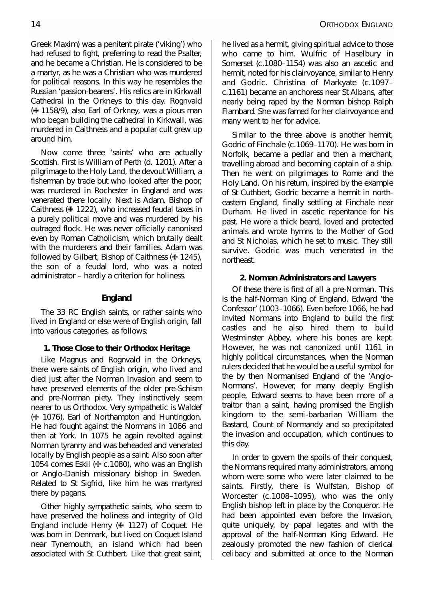Greek Maxim) was a penitent pirate ('viking') who had refused to fight, preferring to read the Psalter. and he became a Christian. He is considered to be a martyr, as he was a Christian who was murdered for political reasons. In this way he resembles the Russian ' passion-bearers' . His relics are in Kirkwall Cathedral in the Orkneys to this day. Rognvald ( $↑$  1158/9), also Earl of Orkney, was a pious man who began building the cathedral in Kirkwall, was murdered in Caithness and a popular cult grew up around him.

Now come three 'saints' who are actually Scottish. First is William of Perth (d. 1201). After a pil grimage to the Holy Land, the devout William, a fisherman by trade but who looked after the poor, was murdered in Rochester in England and was venerated there locally. Next is Adam, Bishop of Cai thness ( $\pm$  1222), who increased feudal taxes in a purely political move and was murdered by his outraged flock. He was never officially canonised even by Roman Catholicism, which brutally dealt with the murderers and their families. Adam was followed by Gilbert, Bishop of Caithness (+ 1245), the son of a feudal lord, who was a noted administrator – hardly a criterion for holiness.

#### **England**

The 33 RC English saints, or rather saints who lived in England or else were of English origin, fall into various categories, as follows

**1 . Those Cl oseto thei r Orthodox Heri tag e**

Like Magnus and Rognvald in the Orkneys, there were saints of English origin, who lived and died just after the Norman Invasion and seem to have preserved elements of the older pre-Schism and pre-Norman piety. They instinctively seem nearer to us Orthodox. Very sympathetic is Waldef ( $↑$  1076), Earl of Northampton and Huntingdon. He had fought against the Normans in 1066 and then at York. In 1075 he again revolted against Norman tyranny and was beheaded and venerated locally by English people as a saint. Also soon after 1054 comes Eskil ( $\textcolor{blue}{\bullet}$  c.1080), who was an English or Anglo-Danish missionary bishop in Sweden. Related to St Sigfrid, like him he was martyred there by pagans.

O ther highly sympathetic saints, who seem to have preserved the holiness and integrity of Old England include Henry ( $\bigoplus$  1127) of Coquet He was born in Denmark, but lived on Coquet Island near Tynemouth, an island which had been associated with St Cuthbert. Like that great saint,

he lived as a hermit, giving spiritual advice to those who came to him. Wulfric of Haselbury in Somerset (c.1080-1154) was also an ascetic and hermit, noted for his clairvoyance, similar to Henry and Godric. Christina of Markyate (c.1097*c*. 1161) became an anchoress near St Albans, after nearly being raped by the Norman bishop Ralph Flambard. She was famed for her clairvoyance and many went to her for advice.

Similar to the three above is another hermit, Godric of Finchale (c.1069–1170). He was born in Norfolk, became a pedlar and then a merchant, travelling abroad and becoming captain of a ship. Then he went on pilgrimages to Rome and the Holy Land. On his return, inspired by the example of St Cuthbert Godric became a hermit in northeastern England, finally settling at Finchale near Durham. He lived in ascetic repentance for his past. He wore a thick beard, loved and protected animals and wrote hymns to the Mother of God and St Nicholas, which he set to music. They still survive. Godric was much venerated in the northeast.

#### **2. Norman Admi ni stratorsand Lawyer s**

Of these there is first of all a pre-Norman. This is the half-Norman King of England, Edward 'the Confessor' (1003-1066). Even before 1066, he had invited Normans into England to build the first castles and he also hired them to build Westminster Abbey, where his bones are kept However, he was not canonized until 1161 in highly political circumstances, when the Norman rulers decided that he would be a useful symbol for the by then Normanised England of the 'Anglo-Normans'. However, for many deeply English people. Edward seems to have been more of a traitor than a saint, having promised the English kingdom to the semi-barbarian William the Bastard, Count of Normandy and so precipitated the invasion and occupation, which continues to this day.

In order to govern the spoils of their conquest the Normans required many administrators, among whom were some who were later claimed to be saints. Firstly, there is Wulfstan, Bishop of Worcester (c.1008-1095), who was the only English bishop left in place by the Conqueror. He had been appointed even before the Invasion, quite uniquely, by papal legates and with the approval of the half-Norman King Edward. He zealously promoted the new fashion of clerical celibacy and submitted at once to the Norman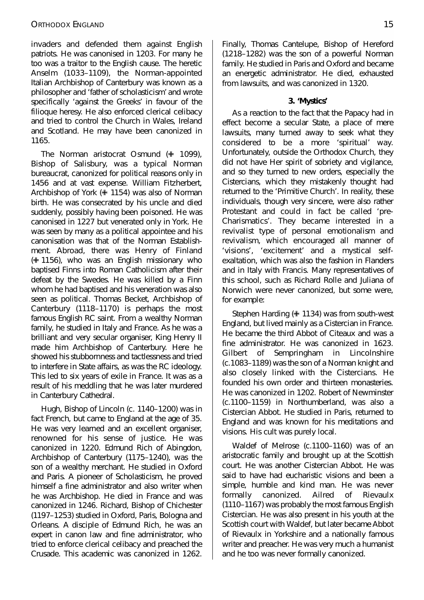invaders and defended them against English patriots. He was canonised in 1203. For many he too was a traitor to the English cause. The heretic Anselm (1033-1109), the Norman-appointed Italian Archbishop of Canterbury was known as a philosopher and 'father of scholasticism' and wrote specifically 'against the Greeks' in favour of the *filioque* heresy. He also enforced clerical celibacy and tried to control the Church in Wales, Ireland and Scotland. He may have been canonized in 11 65.

The Norman aristocrat Osmund ( $\pm$  1099), Bishop of Salisbury, was a typical Norman bureaucrat, canonized for political reasons only in 1456 and at vast expense. William Fitzherbert, Archbishop of York (♣ 1154) was also of Norman birth. He was consecrated by his uncle and died suddenly, possibly having been poisoned. He was canonised in 1227 but venerated only in York. He was seen by many as a political appointee and his canoni sation was that of the Norman Establishment. Abroad, there was Henry of Finland  $($  $+$  1156), who was an English missionary who baptised Finns into Roman Catholicism after their defeat by the Swedes. He was killed by a Finn whom he had baptised and his veneration was also seen as political. Thomas Becket, Archbishop of Canterbury (1118-1170) is perhaps the most famous English RC saint. From a wealthy Norman family, he studied in I taly and France. As he was a brilliant and very secular organiser, King Henry II made him Archbishop of Canterbury. Here he showed his stubbornness and tactlessness and tried to interfere in State affairs, as was the RC ideology. This led to six years of exile in France. It was as a result of his meddling that he was later murdered in Canterbury Cathedral.

Hugh, Bishop of Lincoln (c. 1140-1200) was in fact French, but came to England at the age of 35. He was very learned and an excellent organiser, renowned for his sense of justice. He was canonized in 1220. Edmund Rich of Abingdon, Archbishop of Canterbury (1175–1240), was the son of a wealthy merchant. He studied in Oxford and Paris. A pioneer of Scholasticism, he proved himself a fine administrator and also writer when he was Archbishop. He died in France and was canonized in 1246. Richard, Bishop of Chichester (1197-1253) studied in Oxford, Paris, Bologna and Orleans. A disciple of Edmund Rich, he was an expert in canon law and fine administrator, who tried to enforce clerical celibacy and preached the Crusade. This academic was canonized in 1262.

Finally, Thomas Cantelupe, Bishop of Hereford  $(1218-1282)$  was the son of a powerful Norman family. He studied in Paris and Oxford and became an energetic administrator. He died, exhausted from lawsuits, and was canonized in 1320.

#### **3. 'Mysti cs '**

As a reaction to the fact that the Papacy had in effect become a secular State, a place of mere lawsuits, many turned away to seek what they considered to be a more 'spiritual' way. Unfortunately, outside the Orthodox Church, they did not have Her spirit of sobriety and vigilance, and so they turned to new orders, especially the Cistercians, which they mistakenly thought had returned to the 'Primitive Church'. In reality, these individuals, though very sincere, were also rather Protestant and could in fact be called 'pre-Charismatics'. They became interested in a revivalist type of personal emotionalism and revivalism, which encouraged all manner of ' visions', 'excitement' and a mystical selfexaltation, which was also the fashion in Flanders and in I taly with Francis. Many representatives of this school, such as Richard Rolle and Juliana of Norwich were never canonized, but some were. for example:

Stephen Harding ( $+$  1134) was from south-west England, but lived mainly as a Cistercian in France. He became the third Abbot of Citeaux and was a fine administrator. He was canonized in 1623. Gilbert of Sempringham in Lincolnshire (c. 1083–1189) was the son of a Norman knight and also closely linked with the Cistercians. He founded his own order and thirteen monasteries He was canonized in 1202. Robert of Newminster (c.1100-1159) in Northumberland, was also a Cistercian Abbot. He studied in Paris, returned to England and was known for his meditations and visions. His cult was purely local.

Waldef of Melrose (c.1100-1160) was of an aristocratic family and brought up at the Scottish court. He was another Cistercian Abbot. He was said to have had eucharistic visions and been a simple, humble and kind man. He was never formally canonized. Ailred of Rievaulx (1110-1167) was probably the most famous English Cistercian. He was also present in his youth at the Scottish court with Waldef, but later became Abbot of Rievaulx in Yorkshire and a nationally famous writer and preacher. He was very much a humanist and he too was never formally canonized.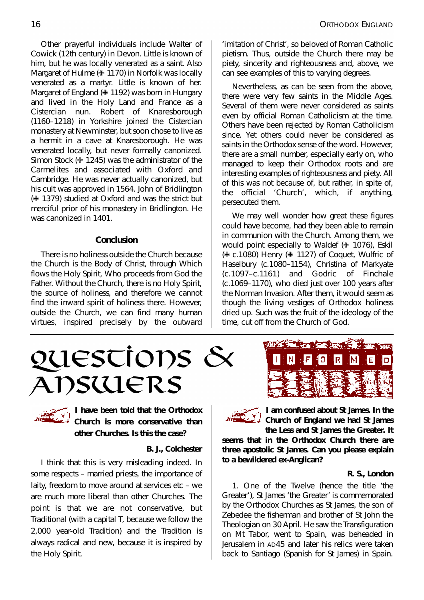Other prayerful individuals include Walter of Cowick (12th century) in Devon. Little is known of him, but he was locally venerated as a saint. Also Margaret of Hulme (♣ 1170) in Norfolk was locally venerated as a martyr. Little is known of her. Margaret of England ( $\oplus$  1192) was born in Hungary and lived in the Holy Land and France as a Cistercian nun. Robert of Knaresborough (1160–1218) in Yorkshire joined the Cistercian monastery at Newminster, but soon chose to live as a hermit in a cave at Knaresborough. He was venerated locally, but never formally canonized. Simon Stock ( $\equiv$  1245) was the administrator of the Carmelites and associated with Oxford and Cambridge. He was never actually canonized, but his cult was approved in 1564. John of Bridlington  $($  $+$  1379) studied at Oxford and was the strict but merciful prior of his monastery in Bridlington. He was canonized in 1401.

#### **Co ncl usi o n**

There is no holiness outside the Church because the Church is the Body of Christ, through Which flows the Holy Spirit, Who proceeds from God the Father. Without the Church, there is no Holy Spirit, the source of holiness, and therefore we cannot find the inward spirit of holiness there. However, outside the Church, we can find many human virtues, inspired precisely by the outward

' imitation of Christ', so beloved of Roman Catholic pietism. Thus, outside the Church there may be piety, sincerity and righteousness and, above, we can see examples of this to varying degrees.

Nevertheless, as can be seen from the above, there were very few saints in the Middle Ages. Several of them were never considered as saints even by official Roman Catholicism at the time. O thers have been rejected by Roman Catholicism since. Yet others could never be considered as saints in the Orthodox sense of the word. However, there are a small number, especially early on, who managed to keep their Orthodox roots and are interesting examples of righteousness and piety. All of this was not because of, but rather, in spite of, the official 'Church', which, if anything, persecuted them.

We may well wonder how great these figures could have become, had they been able to remain in communion with the Church. Among them, we would point especially to Waldef (♣ 1076), Eskil ( $★$  *c*. 1080) Henry ( $★$  1127) of Coquet, Wulfric of Haselbury (c. 1080-1154), Christina of Markyate (c. 1097–c. 1161) and Godric of Finchale (c. 1069–1170), who died just over 100 years after the Norman Invasion. After them, it would seem as though the living vestiges of Orthodox holiness dried up. Such was the fruit of the ideology of the time, cut off from the Church of God.

QUESTIONS & ANSWERS

**I have been tol d that the Orthodo x Church i s more conservati ve tha n other** Churches. Is this the case?

#### *B. J. , Col cheste r*

I think that this is very misleading indeed. In some respects – married priests, the importance of laity, freedom to move around at services  $etc$  – we are much more liberal than other Churches. The point is that we are not conservative, but Tradi tional (with a capital T, because we follow the 2,000 year-old Tradition) and the Tradition is always radical and new, because it is inspired by the Holy Spirit





**I amconfused about St James. I n th e Church ofEngl and we had St Jame s the Lessand St James the Greater. I t**

**seems that** in the Orthodox Church there are **three** apostolic St James. Can you please explain **to a bewi l dered ex-Angl i can ?**

#### *R. S. , Lon do n*

1. One of the Twelve (hence the title 'the Greater'). St James 'the Greater' is commemorated by the Orthodox Churches as St James, the son of Zebedee the fisherman and brother of St John the Theologian on 30 April. He saw the Transfiguration on Mt Tabor, went to Spain, was beheaded in Jerusalem in AD45 and later his relics were taken back to Santiago (Spanish for St James) in Spain.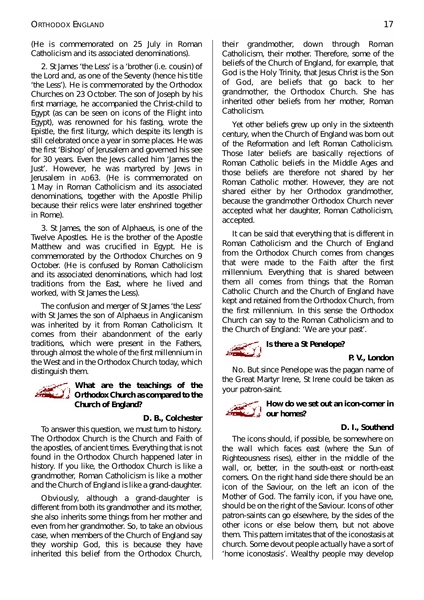(He is commemorated on 25 July in Roman Catholicism and its associated denominations).

2. St James 'the Less' is a 'brother (i.e. cousin) of the Lord and, as one of the Seventy (hence his title ' the Less'). He is commemorated by the Orthodox Churches on 23 October. The son of Joseph by his first marriage, he accompanied the Christ-child to Egypt (as can be seen on icons of the Flight into Egypt), was renowned for his fasting, wrote the Epistle, the first liturgy, which despite its length is still celebrated once a year in some places. He was the first 'Bishop' of Jerusal emand governed his see for 30 years. Even the Jews called him 'James the Just. However, he was martyred by Jews in Jerusalem in AD63. (He is commemorated on 1 May in Roman Catholicism and its associated denominations, together with the Apostle Philip because their relics were later enshrined together in Rome).

3. St James, the son of Alphaeus, is one of the Twelve Apostles. He is the brother of the Apostle Matthew and was crucified in Egypt. He is commemorated by the Orthodox Churches on 9 October. (He is confused by Roman Catholicism and its associated denominations, which had lost traditions from the East where he lived and worked, with St James the Less).

The confusion and merger of St James 'the Less' with St James the son of Alphaeus in Anglicanism was inherited by it from Roman Catholicism. It comes from their abandonment of the early traditions, which were present in the Fathers, through almost the whole of the first millennium in the West and in the Orthodox Church today, which distinguish them.



**What** are the teachings of the *L* Orthodox Church as compared to the **Church of Engl and ?**

*D. B. , Col cheste r*

To answer this question, we must turn to history. The Orthodox Church is the Church and Faith of the apostles, of ancient times. Everything that is not found in the Orthodox Church happened later in history. If you like, the Orthodox Church is like a grandmother, Roman Catholicism is like a mother and the Church of England is like a grand-daughter.

Obviously, although a grand-daughter is different from both its grandmother and its mother, she also inherits some things from her mother and even from her grandmother. So, to take an obvious case, when members of the Church of England say they worship God, this is because they have inherited this belief from the Orthodox Church,

their grandmother, down through Roman Catholicism, their mother. Therefore, some of the beliefs of the Church of England, for example, that God is the Holy Trinity, that Jesus Christ is the Son of God, are beliefs that go back to her grandmother, the Orthodox Church. She has inherited other beliefs from her mother, Roman Catholicism.

Yet other beliefs grew up only in the sixteenth century, when the Church of England was born out of the Reformation and left Roman Catholicism. Those later beliefs are basically rejections of Roman Catholic beliefs in the Middle Ages and those beliefs are therefore not shared by her Roman Catholic mother. However, they are not shared either by her Orthodox grandmother, because the grandmother Orthodox Church never accepted what her daughter, Roman Catholicism, accepted.

It can be said that everything that is different in Roman Catholicism and the Church of England from the Orthodox Church comes from changes that were made to the Faith after the first millennium. Everything that is shared between them all comes from things that the Roman Catholic Church and the Church of England have kept and retained from the Orthodox Church, from the first millennium. In this sense the Orthodox Church can say to the Roman Catholicism and to the Church of England: 'We are your past'.



*P. V. , London*

No. But since Penelope was the pagan name of the Great Martyr Irene, St Irene could be taken as your patron-saint.



**Howdoweset outan i con-corner in b** our homes?

#### *D. I.*, *Southend*

The icons should, if possible, be somewhere on the wall which faces east (where the Sun of Righteousness rises), either in the middle of the wall, or, better, in the south-east or north-east corners. On the right hand side there should be an icon of the Saviour, on the left an icon of the Mother of God. The family icon, if you have one, should be on the right of the Saviour. I cons of other patron-saints can go el sewhere, by the sides of the other icons or else below them, but not above them. This pattern imitates that of the iconostasis at church. Some devout people actually have a sort of 'home iconostasis'. Weal thy people may develop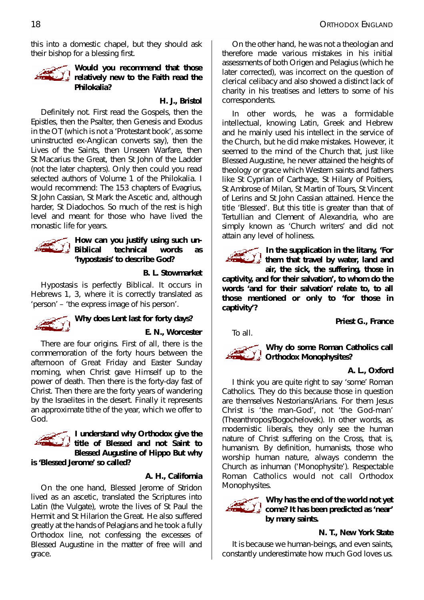this into a domestic chapel, but they should ask their bishop for a blessing first



**Would you recommend that those relatively** new to the Faith read the **Philokalia?** 

*H. J. , Bri sto l*

Definitely not. First read the Gospels, then the Epistles, then the Psalter, then Genesis and Exodus in the OT (which is not a 'Protestant book', as some uninstructed ex-Anglican converts say), then the Lives of the Saints, then Unseen Warfare, then St Macarius the Great, then St John of the Ladder (not the later chapters). Only then could you read selected authors of Volume 1 of the Philokalia. I would recommend: The 153 chapters of Evagrius, St John Cassian, St Mark the Ascetic and, although harder. St Diadochos. So much of the rest is high level and meant for those who have lived the monastic life for years.



**Howcan you justi fy usi ng such un - Bi bl i cal te chni cal words a s** 'hypostasis' to describe God?

*B. L. Stowmarke t*

Hypostasis is perfectly Biblical. It occurs in Hebrews 1, 3, where it is correctly translated as 'person' – 'the express image of his person'.



**Why does Lent last for forty days?** 

*E. N., Worcester* 

There are four origins. First of all, there is the commemoration of the forty hours between the afternoon of Great Friday and Easter Sunday morning, when Christ gave Himself up to the power of death. Then there is the forty-day fast of Christ Then there are the forty years of wandering by the Israelites in the desert Finally it represents an approximate tithe of the year, which we offer to God.



**I understand whyOrtho dox gi ve th e the of Blessed and not Saint to Blessed Augustine of Hippo But why** 

**i s' Bl essed Jerome' socal l ed ?**

# *A. H. , Cal i forni a*

On the one hand, Blessed Jerome of Stridon lived as an ascetic, translated the Scriptures into Latin (the Vulgate), wrote the lives of St Paul the Hermit and St Hilarion the Great. He also suffered greatly at the hands of Pelagians and he took a fully Orthodox line, not confessing the excesses of Blessed Augustine in the matter of free will and grace.

On the other hand, he was not a theologian and therefore made various mistakes in his initial assessments of both O rigen and Pelagius (which he later corrected), was incorrect on the question of clerical celibacy and also showed a distinct lack of charity in his treatises and letters to some of his correspondents.

In other words, he was a formidable intellectual, knowing Latin, Greek and Hebrew and he mainly used his intellect in the service of the Church, but he did make mistakes. However, it seemed to the mind of the Church that, just like Blessed Augustine, he never attained the heights of theology or grace which Western saints and fathers like St Cyprian of Carthage, St Hilary of Poitiers, St Ambrose of Milan, St Martin of Tours, St Vincent of Lerins and St John Cassian attained. Hence the ti the 'Blessed'. But this title is greater than that of Tertullian and Clement of Alexandria, who are simply known as 'Church writers' and did not attain any level of holiness.

> **I n the suppl i cati on i n the l i tany, ' Fo r t** them that travel by water, land and **ai r, the si ck, the suferi ng, those i n**

**capti vi ty, and for thei r sal vati on' , towhomdoth e words 'and for thei r sal vati on' rel ate to, to al l those menti oned or o nl y to ' for th ose i n capti vi ty' ?**

*Pri est G. , Franc e*

To all.



**Why** do some Roman Catholics call **Orthodox Monophysites?** 

*A. L. , Oxfor d*

I think you are quite right to say 'some' Roman Catholics. They do this because those in question are themselves Nestorians/Arians. For them Jesus Christ is 'the man-God', not 'the God-man' (Theanthropos/Bogochelovek). In other words, as modernistic liberals, they only see the human nature of Christ suffering on the Cross, that is, humanism. By definition, humanists, those who worship human nature, always condemn the Church as inhuman ('Monophysite'). Respectable Roman Catholics would not call Orthodox Monophysi tes .



**Why has the end of the world not yet come?I thasbeen predi cted as' near '** by many saints.

*N. T., New York State* 

It is because we human-beings, and even saints, constantly underestimate how much God loves us.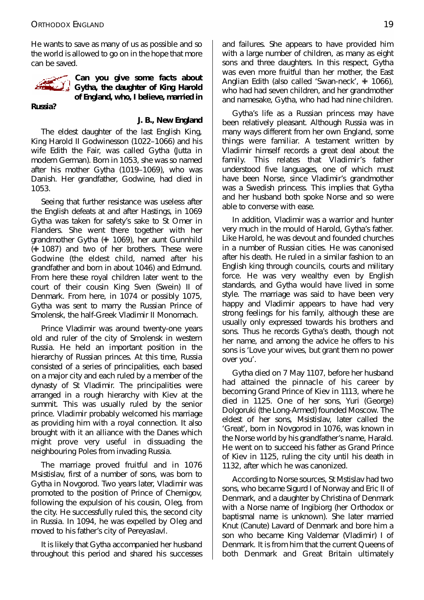He wants to save as many of us as possible and so the world is allowed to go on in the hope that more can be saved.



**Can you gi ve some fa cts ab ou t Gytha, the daughter ofKi ng Harol d ofEngl and, who, I bel i eve, marri ed i n**

**Russi a ?**

# *J. B. , NewEngl an d*

The eldest daughter of the last English King, King Harold II Godwinesson (1022-1066) and his wife Edith the Fair, was called Gytha (Lutta in modern German). Born in 1053, she was so named after his mother Gytha (1019-1069), who was Danish. Her grandfather, Godwine, had died in 1053.

Seeing that further resistance was useless after the English defeats at and after Hastings, in 1069 Gytha was taken for safety's sake to St Omer in Flanders. She went there together with her grandmother Gytha (+ 1069), her aunt Gunnhild ( $↑$  1087) and two of her brothers. These were Godwine (the eldest child, named after his grandfather and born in about 1046) and Edmund. From here these royal children later went to the court of their cousin King Sven (Swein) II of Denmark. From here, in 1074 or possibly 1075, Gytha was sent to marry the Russian Prince of Smolensk, the half-Greek Vladimir II Monomach.

Prince Vladimir was around twenty-one years old and ruler of the city of Smolensk in western Russia. He held an important position in the hierarchy of Russian princes. At this time, Russia consisted of a series of principalities, each based on a major city and each ruled by a member of the dynasty of St Vladimir. The principalities were arranged in a rough hierarchy with Kiev at the summit. This was usually ruled by the senior prince. Vladimir probably welcomed his marriage as providing him with a royal connection. It also brought with it an alliance with the Danes which might prove very useful in dissuading the neighbouring Poles from invading Russia.

The marriage proved fruitful and in 1076 Msi sti slav, first of a number of sons, was born to Gytha in Novgorod. Two years later, Vladimir was promoted to the position of Prince of Chernigov, following the expulsion of his cousin, Oleg, from the city. He successfully ruled this, the second city in Russia. In 1094, he was expelled by Oleg and moved to his father's city of Pereyaslavl.

It is likely that Gytha accompanied her husband throughout this period and shared his successes and failures. She appears to have provided him with a large number of children, as many as eight sons and three daughters. In this respect, Gytha was even more fruitful than her mother, the East Anglian Edith (also called 'Swan-neck', ♣ 1066), who had had seven children, and her grandmother and namesake, Gytha, who had had nine children.

Gytha's life as a Russian princess may have been relatively pleasant. Although Russia was in many ways different from her own England, some things were familiar. A testament written by Vladimir himself records a great deal about the family. This relates that Vladimir's father understood five languages, one of which must have been Norse, since Vladimir's grandmother was a Swedish princess. This implies that Gytha and her husband both spoke Norse and so were able to converse with ease.

In addition, Vladimir was a warrior and hunter very much in the mould of Harold, Gytha's father. Like Harold, he was devout and founded churches in a number of Russian cities. He was canonised after his death. He ruled in a similar fashion to an English king through councils, courts and military force. He was very wealthy even by English standards, and Gytha would have lived in some style. The marriage was said to have been very happy and Vladimir appears to have had very strong feelings for his family, although these are usually only expressed towards his brothers and sons. Thus he records Gytha's death, though not her name, and among the advice he offers to his sons is 'Love your wives, but grant them no power over you'.

Gytha died on 7 May 1107, before her husband had attained the pinnacle of his career by becoming Grand Prince of Kiev in 1113, where he died in 1125. One of her sons, Yuri (George) Dolgoruki (the Long-Armed) founded Moscow. The eldest of her sons, Msistislav, later called the 'Great, born in Novgorod in 1076, was known in the Norse world by his grandfather's name, Harald. He went on to succeed his father as Grand Prince of Kiev in 1125, ruling the city until his death in 11.32, after which he was canonized.

According to Norse sources, St Mstislav had two sons, who became Sigurd I of Norway and Eric II of Denmark, and a daughter by Christina of Denmark with a Norse name of Ingibiorg (her Orthodox or bapti smal name is unknown). She later married Knut (Canute) Lavard of Denmark and bore him a son who became King Valdemar (Vladimir) I of Denmark. It is from him that the current Queens of both Denmark and Great Britain ultimately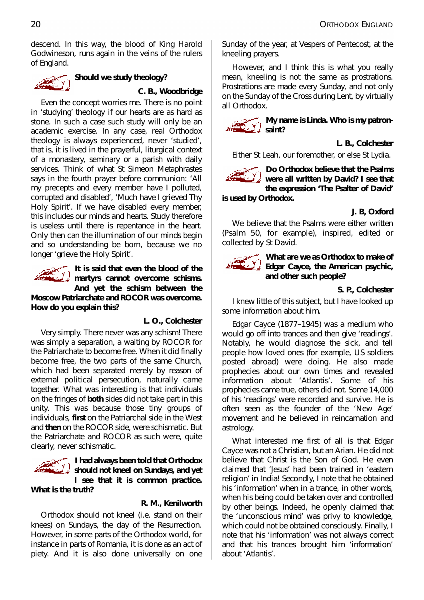descend. In this way, the blood of King Harold Godwineson, runs again in the veins of the rulers of England.



Should we study theology?

C. B., Woodbridge

Even the concept worries me. There is no point in 'studying' theology if our hearts are as hard as stone. In such a case such study will only be an academic exercise. In any case, real Orthodox theology is always experienced, never 'studied', that is, it is lived in the prayerful, liturgical context of a monastery, seminary or a parish with daily services. Think of what St Simeon Metaphrastes says in the fourth prayer before communion: 'All my precepts and every member have I polluted, corrupted and disabled', 'Much have I grieved Thy Holy Spirit. If we have disabled every member. this includes our minds and hearts. Study therefore is useless until there is repentance in the heart. Only then can the illumination of our minds begin and so understanding be born, because we no longer 'grieve the Holy Spirit.



It is said that even the blood of the  $\frac{1}{2}$  martyrs cannot overcome schisms. And yet the schism between the

Moscow Patriarchate and ROCOR was overcome. How do you explain this?

L. O., Colchester

Very simply. There never was any schism! There was simply a separation, a waiting by ROCOR for the Patriarchate to become free. When it did finally become free, the two parts of the same Church, which had been separated merely by reason of external political persecution, naturally came together. What was interesting is that individuals on the fringes of both sides did not take part in this unity. This was because those tiny groups of individuals, first on the Patriarchal side in the West and then on the ROCOR side, were schismatic. But the Patriarchate and ROCOR as such were, quite clearly, never schismatic.



I had always been told that Orthodox should not kneel on Sundays, and yet I see that it is common practice.

What is the truth?

#### R. M., Kenilworth

Orthodox should not kneel (i.e. stand on their knees) on Sundays, the day of the Resurrection. However, in some parts of the Orthodox world, for instance in parts of Romania, it is done as an act of piety. And it is also done universally on one

Sunday of the year, at Vespers of Pentecost, at the kneeling prayers.

However, and I think this is what you really mean, kneeling is not the same as prostrations. Prostrations are made every Sunday, and not only on the Sunday of the Cross during Lent, by virtually all Orthodox.

-<br>, My name is Linda. Who is my patron-<br>, saint?

L. B., Colchester

Either St Leah, our foremother, or else St Lydia.



Do Orthodox believe that the Psalms were all written by David? I see that the expression 'The Psalter of David'

is used by Orthodox.

J. B. Oxford

We believe that the Psalms were either written (Psalm 50, for example), inspired, edited or collected by St David.



What are we as Orthodox to make of  $\mathcal{L}$  Edgar Cayce, the American psychic, and other such people?

S. P., Colchester

I knew little of this subject, but I have looked up some information about him.

Edgar Cayce (1877-1945) was a medium who would go off into trances and then give 'readings'. Notably, he would diagnose the sick, and tell people how loved ones (for example, US soldiers posted abroad) were doing. He also made prophecies about our own times and revealed information about 'Atlantis'. Some of his prophecies came true, others did not Some 14,000 of his 'readings' were recorded and survive. He is often seen as the founder of the 'New Age' movement and he believed in reincarnation and astrology.

What interested me first of all is that Edgar Cayce was not a Christian, but an Arian. He did not believe that Christ is the Son of God. He even claimed that 'Jesus' had been trained in 'eastern religion' in India! Secondly, I note that he obtained his 'information' when in a trance, in other words, when his being could be taken over and controlled by other beings Indeed, he openly claimed that the 'unconscious mind' was privy to knowledge, which could not be obtained consciously. Finally, I note that his 'information' was not always correct and that his trances brought him 'information' about 'Atlantis'.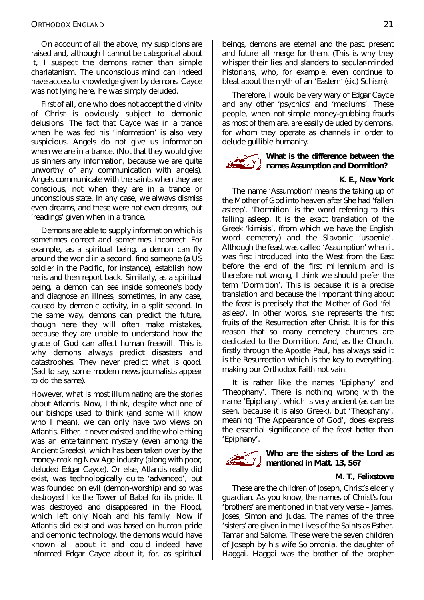#### ORTHODOX ENGLAND

On account of all the above, my suspicions are raised and, although I cannot be categorical about it, I suspect the demons rather than simple charlatanism. The unconscious mind can indeed have access to knowledge given by demons. Cayce was not lying here, he was simply deluded.

First of all, one who does not accept the divinity of Christ is obviously subject to demonic delusions. The fact that Cayce was in a trance when he was fed his 'information' is also very suspicious. Angels do not give us information when we are in a trance. (Not that they would give us sinners any information, because we are quite unworthy of any communication with angels). Angels communicate with the saints when they are conscious, not when they are in a trance or unconscious state. In any case, we always dismiss even dreams, and these were not even dreams, but 'readings' given when in a trance.

Demons are able to supply information which is sometimes correct and sometimes incorrect. For example, as a spiritual being, a demon can fly around the world in a second, find someone (a US soldier in the Pacific, for instance), establish how he is and then report back. Similarly, as a spiritual being, a demon can see inside someone's body and diagnose an illness, sometimes, in any case, caused by demonic activity, in a split second. In the same way, demons can predict the future, though here they will often make mistakes, because they are unable to understand how the grace of God can affect human freewill. This is why demons always predict disasters and catastrophes. They never predict what is good. (Sad to say, some modern news journalists appear to do the same).

However, what is most illuminating are the stories about Atlantis, Now, I think, despite what one of our bishops used to think (and some will know who I mean), we can only have two views on Atlantis. Either, it never existed and the whole thing was an entertainment mystery (even among the Ancient Greeks), which has been taken over by the money-making New Age industry (along with poor, deluded Edgar Cayce). Or else, Atlantis really did exist, was technologically quite 'advanced', but was founded on evil (demon-worship) and so was destroved like the Tower of Babel for its pride. It was destroyed and disappeared in the Flood, which left only Noah and his family. Now if Atlantis did exist and was based on human pride and demonic technology, the demons would have known all about it and could indeed have informed Edgar Cayce about it, for, as spiritual

beings, demons are eternal and the past, present and future all merge for them. (This is why they whisper their lies and slanders to secular-minded historians, who, for example, even continue to bleat about the myth of an 'Eastern' (sic) Schism).

Therefore, I would be very wary of Edgar Cayce and any other 'psychics' and 'mediums'. These people, when not simple money-qrubbing frauds as most of them are, are easily deluded by demons, for whom they operate as channels in order to delude quilible humanity.



What is the difference between the  $\mathcal{U}$  names Assumption and Dormition?

#### K. E., New York

The name 'Assumption' means the taking up of the Mother of God into heaven after She had 'fallen asleep'. 'Dormition' is the word referring to this falling asleep. It is the exact translation of the Greek 'kimisis', (from which we have the English word cemetery) and the Slavonic 'uspenie'. Although the feast was called 'Assumption' when it was first introduced into the West from the East before the end of the first millennium and is therefore not wrong, I think we should prefer the term 'Dormition'. This is because it is a precise translation and because the important thing about the feast is precisely that the Mother of God 'fell asleep'. In other words, she represents the first fruits of the Resurrection after Christ It is for this reason that so many cemetery churches are dedicated to the Dormition. And, as the Church, firstly through the Apostle Paul, has always said it is the Resurrection which is the key to everything. making our Orthodox Faith not vain.

It is rather like the names 'Epiphany' and 'Theophany'. There is nothing wrong with the name 'Epiphany', which is very ancient (as can be seen, because it is also Greek), but 'Theophany', meaning 'The Appearance of God', does express the essential significance of the feast better than 'Epiphany'.



Who are the sisters of the Lord as  $\mathbf{L}$  mentioned in Matt. 13, 56?

#### M. T., Felixstowe

These are the children of Joseph, Christ's elderly quardian. As you know, the names of Christ's four 'brothers' are mentioned in that very verse - James, Joses, Simon and Judas. The names of the three 'sisters' are given in the Lives of the Saints as Esther, Tamar and Salome. These were the seven children of Joseph by his wife Solomonia, the daughter of Haggai. Haggai was the brother of the prophet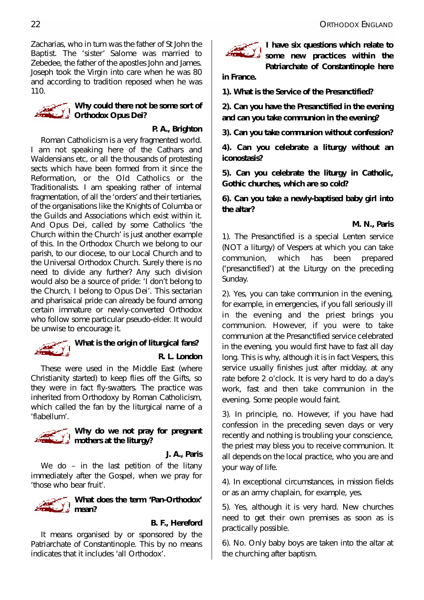Zacharias, who in turn was the father of St John the Baptist The 'sister' Salome was married to Zebedee, the father of the apostles John and James. Joseph took the Virgin into care when he was 80 and according to tradition reposed when he was  $110.$ 



Why could there not be some sort of  $\downarrow$  Orthodox Opus Dei?

#### P. A., Brighton

Roman Catholicism is a very fragmented world. I am not speaking here of the Cathars and Waldensians etc, or all the thousands of protesting sects which have been formed from it since the Reformation, or the Old Catholics or the Traditionalists. I am speaking rather of internal fragmentation, of all the 'orders' and their tertiaries, of the organisations like the Knights of Columba or the Guilds and Associations which exist within it And Opus Dei, called by some Catholics 'the Church within the Church' is just another example of this. In the Orthodox Church we belong to our parish, to our diocese, to our Local Church and to the Universal Orthodox Church. Surely there is no need to divide any further? Any such division would also be a source of pride: 'I don't belong to the Church, I belong to Opus Dei'. This sectarian and pharisaical pride can already be found among certain immature or newly-converted Orthodox who follow some particular pseudo-elder. It would be unwise to encourage it



What is the origin of liturgical fans?

R. L. London

These were used in the Middle East (where Christianity started) to keep flies off the Gifts, so they were in fact fly-swatters. The practice was inherited from Orthodoxy by Roman Catholicism, which called the fan by the liturgical name of a 'flabellum'.



Why do we not pray for pregnant mothers at the liturgy?

J. A., Paris

We do - in the last petition of the litany immediately after the Gospel, when we pray for 'those who bear fruit'.



What does the term 'Pan-Orthodox'  $\Gamma$  mean?

B. F., Hereford

It means organised by or sponsored by the Patriarchate of Constantinople. This by no means indicates that it includes 'all Orthodox'.



I have six questions which relate to some new practices within the Patriarchate of Constantinople here

in France.

1). What is the Service of the Presanctified?

2). Can you have the Presanctified in the evening and can you take communion in the evening?

3). Can you take communion without confession?

4). Can you celebrate a liturgy without an iconostasis?

5). Can you celebrate the liturgy in Catholic, Gothic churches, which are so cold?

6). Can you take a newly-baptised baby girl into the altar?

M. N., Paris

1). The Presanctified is a special Lenten service (NOT a liturgy) of Vespers at which you can take communion. which has been prepared ('presanctified') at the Liturgy on the preceding Sunday.

2). Yes, you can take communion in the evening, for example, in emergencies, if you fall seriously ill in the evening and the priest brings you communion. However, if you were to take communion at the Presanctified service celebrated in the evening, you would first have to fast all day long. This is why, although it is in fact Vespers, this service usually finishes just after midday, at any rate before 2 o'clock. It is very hard to do a day's work, fast and then take communion in the evening. Some people would faint

3). In principle, no. However, if you have had confession in the preceding seven days or very recently and nothing is troubling your conscience, the priest may bless you to receive communion. It all depends on the local practice, who you are and your way of life.

4). In exceptional circumstances, in mission fields or as an army chaplain, for example, yes.

5). Yes, although it is very hard. New churches need to get their own premises as soon as is practically possible.

6). No. Only baby boys are taken into the altar at the churching after baptism.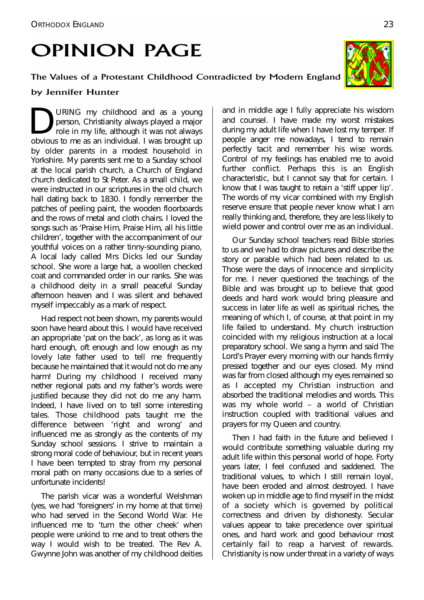# OPINION PAGE

# The Values of a Protestant Childhood Contradicted by Modern England

# by Jennifer Hunter

URING my childhood and as a young person, Christianity always played a major role in my life, although it was not always obvious to me as an individual. I was brought up URING my childhood and as a young person, Christianity always played a major role in my life, although it was not always by older parents in a modest household in Yorkshire. My parents sent me to a Sunday school at the local parish church, a Church of England church dedicated to St Peter. As a small child, we were instructed in our scriptures in the old church hall dating back to 1830. I fondly remember the patches of peeling paint, the wooden floorboards and the rows of metal and cloth chairs. I loved the songs such as 'Praise Him, Praise Him, all his little children', together with the accompaniment of our youthful voices on a rather tinny-sounding piano, A local lady called Mrs Dicks led our Sunday school. She wore a large hat, a woollen checked coat and commanded order in our ranks. She was a childhood deity in a small peaceful Sunday afternoon heaven and I was silent and behaved myself impeccably as a mark of respect.

Had respect not been shown, my parents would soon have heard about this. I would have received an appropriate 'pat on the back', as long as it was hard enough, oft enough and low enough as my lovely late father used to tell me frequently because he maintained that it would not do me any harm! During my childhood I received many nether regional pats and my father's words were justified because they did not do me any harm. Indeed, I have lived on to tell some interesting tales. Those childhood pats taught me the difference between 'right and wrong' and influenced me as strongly as the contents of my Sunday school sessions. I strive to maintain a strong moral code of behaviour, but in recent years I have been tempted to stray from my personal moral path on many occasions due to a series of unfortunate incidents!

The parish vicar was a wonderful Welshman (yes, we had 'foreigners' in my home at that time) who had served in the Second World War. He influenced me to 'turn the other cheek' when people were unkind to me and to treat others the way I would wish to be treated. The Rev A. G wynne John was another of my childhood deities and in middle age I fully appreciate his wisdom and counsel. I have made my worst mistakes during my adult life when I have lost my temper. If people anger me nowadays, I tend to remain perfectly tacit and remember his wise words. Control of my feelings has enabled me to avoid further conflict. Perhaps this is an English characteristic, but I cannot say that for certain. I know that I was taught to retain a 'stiff upper lip'. The words of my vicar combined with my English reserve ensure that people never know what I am really thinking and, therefore, they are less likely to wield power and control over me as an individual.

Our Sunday school teachers read Bible stories to us and we had to draw pictures and describe the story or parable which had been related to us. Those were the days of innocence and simplicity for me. I never questioned the teachings of the Bible and was brought up to believe that good deeds and hard work would bring pleasure and success in later life as well as spiritual riches, the meaning of which I, of course, at that point in my life failed to understand. My church instruction coincided with my religious instruction at a local preparatory school. We sang a hymn and said The Lord's Prayer every morning with our hands firmly pressed together and our eyes closed. My mind was far from closed although my eyes remained so as I accepted my Christian instruction and absorbed the traditional melodies and words. This was my whole world  $-$  a world of Christian instruction coupled with traditional values and prayers for my Queen and country.

Then I had faith in the future and believed I would contribute something valuable during my adult life within this personal world of hope. Forty years later, I feel confused and saddened. The traditional values, to which I still remain loyal, have been eroded and almost destroyed. I have woken up in middle age to find myself in the midst of a society which is governed by political correctness and driven by dishonesty. Secular values appear to take precedence over spiritual ones, and hard work and good behaviour most certainly fail to reap a harvest of rewards. Christianity is now under threat in a variety of ways

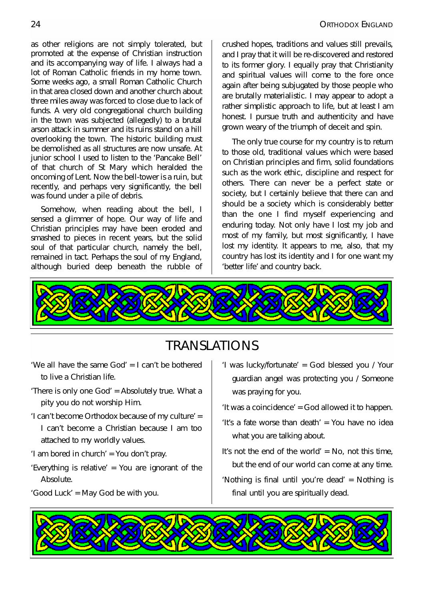as other religions are not simply tolerated, but promoted at the expense of Christian instruction and its accompanying way of life. I always had a lot of Roman Catholic friends in my home town. Some weeks ago, a small Roman Catholic Church in that area closed down and another church about three miles away was forced to close due to lack of funds. A very old congregational church building in the town was subjected (allegedly) to a brutal arson attack in summer and its ruins stand on a hill overlooking the town. The historic building must be demolished as all structures are now unsafe. At junior school I used to listen to the 'Pancake Bell' of that church of St Mary which heralded the oncoming of Lent Now the bell-tower is a ruin, but recently, and perhaps very significantly, the bell was found under a pile of debris.

Somehow, when reading about the bell, I sensed a glimmer of hope. Our way of life and Christian principles may have been eroded and smashed to pieces in recent years, but the solid soul of that particular church, namely the bell. remained in tact Perhaps the soul of my England, although buried deep beneath the rubble of crushed hopes, traditions and values still prevails, and I pray that it will be re-discovered and restored to its former glory. I equally pray that Christianity and spiritual values will come to the fore once again after being subjugated by those people who are brutally materialistic. I may appear to adopt a rather simplistic approach to life, but at least I am honest I pursue truth and authenticity and have grown weary of the triumph of deceit and spin.

The only true course for my country is to return to those old, traditional values which were based on Christian principles and firm, solid foundations such as the work ethic, discipline and respect for others. There can never be a perfect state or society, but I certainly believe that there can and should be a society which is considerably better than the one I find myself experiencing and enduring today. Not only have I lost my job and most of my family, but most significantly, I have lost my identity. It appears to me, also, that my country has lost its identity and I for one want my 'better life' and country back.



# **TRANSIATIONS**

- 'We all have the same  $God' = I can't be obtained$ to live a Christian life.
- 'There is only one God' = Absolutely true. What a pity you do not worship Him.
- 'I can't become Orthodox because of my culture' = I can't become a Christian because I am too attached to my worldly values.
- 'I am bored in church' = You don't pray.
- 'Everything is relative' = You are ignorant of the Absolute
- 'Good Luck' = May God be with you.
- 'I was lucky/fortunate' = God blessed you / Your guardian angel was protecting you / Someone was praying for you.
- 'It was a coincidence' = G od allowed it to happen.
- 'It's a fate worse than death' = You have no idea what you are talking about.
- It's not the end of the world' =  $No$ , not this time, but the end of our world can come at any time.
- 'Nothing is final until you're dead' = Nothing is final until you are spiritually dead.

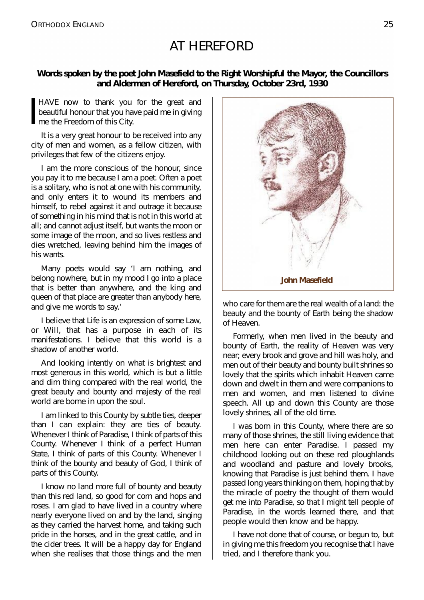# AT HERFFORD

**Words spoken by the poet John Masefield to the Right Worshipful the Mayor, the Councillors and Al dermen of Hereford, on T hur sday, October 23rd, 1 93 0**

HAVE now to thank you for the great and beautiful honour that you have paid me in giving  $\blacksquare$  me the Freedom of this City.

It is a very great honour to be received into any city of men and women, as a fellow citizen, with privileges that few of the citizens enjoy.

I am the more conscious of the honour, since you pay it to me because I am a poet. Often a poet is a solitary, who is not at one with his community, and only enters it to wound its members and himself, to rebel against it and outrage it because of something in his mind that is not in this world at all; and cannot adjust itself, but wants the moon or some image of the moon, and so lives restless and dies wretched, leaving behind him the images of his wants

Many poets would say 'I am nothing, and belong nowhere, but in my mood I go into a place that is better than anywhere, and the king and queen of that place are greater than anybody here, and give me words to say.'

I believe that Life is an expression of some Law, or Will, that has a purpose in each of its manifestations. I believe that this world is a shadow of another world.

And looking intently on what is brightest and most generous in this world, which is but a little and dim thing compared with the real world, the great beauty and bounty and majesty of the real world are borne in upon the soul.

I am linked to this County by subtle ties, deeper than I can explain: they are ties of beauty. Whenever I think of Paradise, I think of parts of this County. Whenever I think of a perfect Human State, I think of parts of this County. Whenever I think of the bounty and beauty of God, I think of parts of this County.

I know no land more full of bounty and beauty than this red land, so good for corn and hops and roses. I am glad to have lived in a country where nearly everyone lived on and by the land, singing as they carried the harvest home, and taking such pride in the horses, and in the great cattle, and in the cider trees. It will be a happy day for England when she realises that those things and the men



who care for them are the real weal th of a land: the beauty and the bounty of Earth being the shadow of Heaven.

Formerly, when men lived in the beauty and bounty of Earth, the reality of Heaven was very near; every brook and grove and hill was holy, and men out of their beauty and bounty built shrines so lovely that the spirits which inhabit Heaven came down and dwelt in them and were companions to men and women, and men listened to divine speech. All up and down this County are those lovely shrines, all of the old time.

I was born in this County, where there are so many of those shrines, the still living evidence that men here can enter Paradise. I passed my childhood looking out on these red ploughlands and woodland and pasture and lovely brooks, knowing that Paradise is just behind them. I have passed long years thinking on them, hoping that by the miracle of poetry the thought of them would get me into Paradise, so that I might tell people of Paradise, in the words learned there, and that people would then know and be happy.

I have not done that of course, or begun to, but in giving me this freedom you recognise that I have tried, and I therefore thank you.